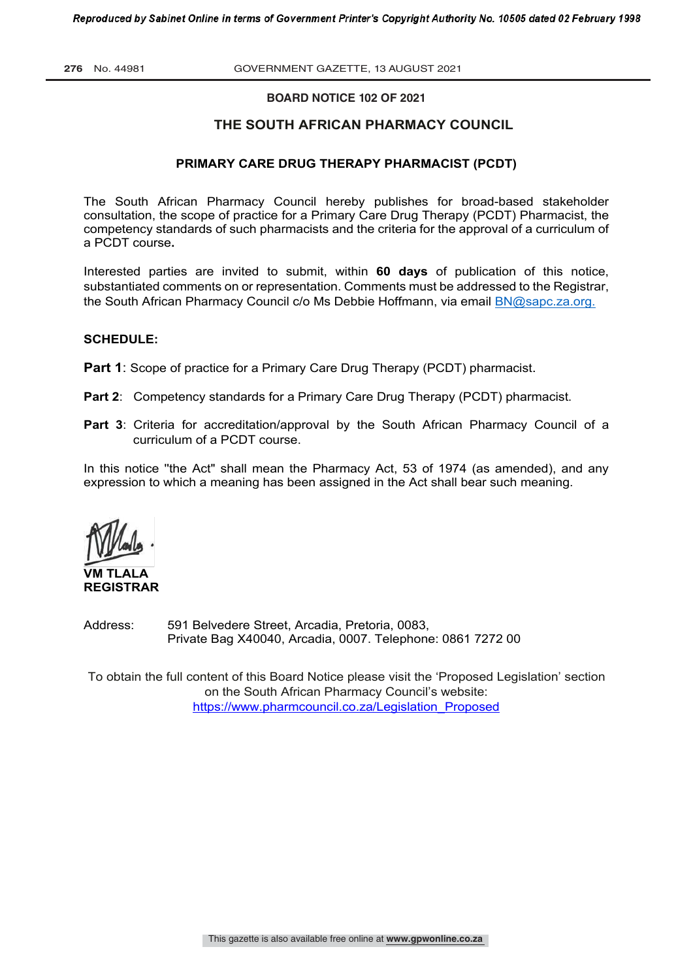**276** No. 44981 GOVERNMENT GAZETTE, 13 AUGUST 2021

#### **BOARD NOTICE 102 OF 2021**

#### **THE SOUTH AFRICAN PHARMACY COUNCIL**

#### **PRIMARY CARE DRUG THERAPY PHARMACIST (PCDT)**

The South African Pharmacy Council hereby publishes for broad-based stakeholder consultation, the scope of practice for a Primary Care Drug Therapy (PCDT) Pharmacist, the competency standards of such pharmacists and the criteria for the approval of a curriculum of a PCDT course**.** 

Interested parties are invited to submit, within **60 days** of publication of this notice, substantiated comments on or representation. Comments must be addressed to the Registrar, the South African Pharmacy Council c/o Ms Debbie Hoffmann, via email BN@sapc.za.org.

#### **SCHEDULE:**

**Part 1:** Scope of practice for a Primary Care Drug Therapy (PCDT) pharmacist.

- **Part 2:** Competency standards for a Primary Care Drug Therapy (PCDT) pharmacist.
- **Part 3**: Criteria for accreditation/approval by the South African Pharmacy Council of a curriculum of a PCDT course.

In this notice ''the Act" shall mean the Pharmacy Act, 53 of 1974 (as amended), and any expression to which a meaning has been assigned in the Act shall bear such meaning.

**VM TLALA REGISTRAR**

Address: 591 Belvedere Street, Arcadia, Pretoria, 0083, Private Bag X40040, Arcadia, 0007. Telephone: 0861 7272 00

To obtain the full content of this Board Notice please visit the 'Proposed Legislation' section on the South African Pharmacy Council's website: https://www.pharmcouncil.co.za/Legislation\_Proposed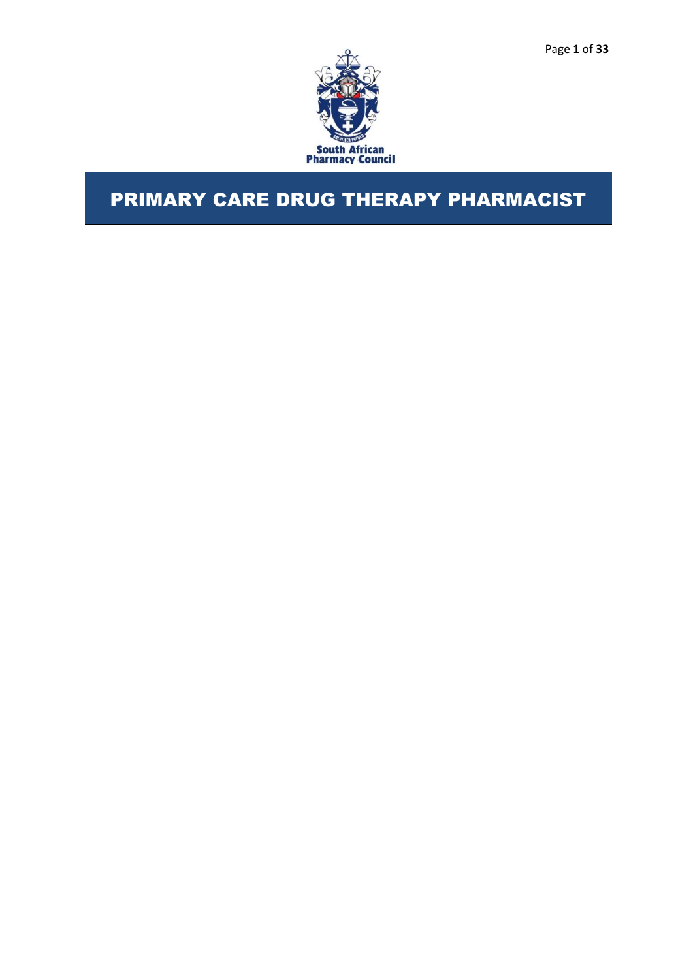

# PRIMARY CARE DRUG THERAPY PHARMACIST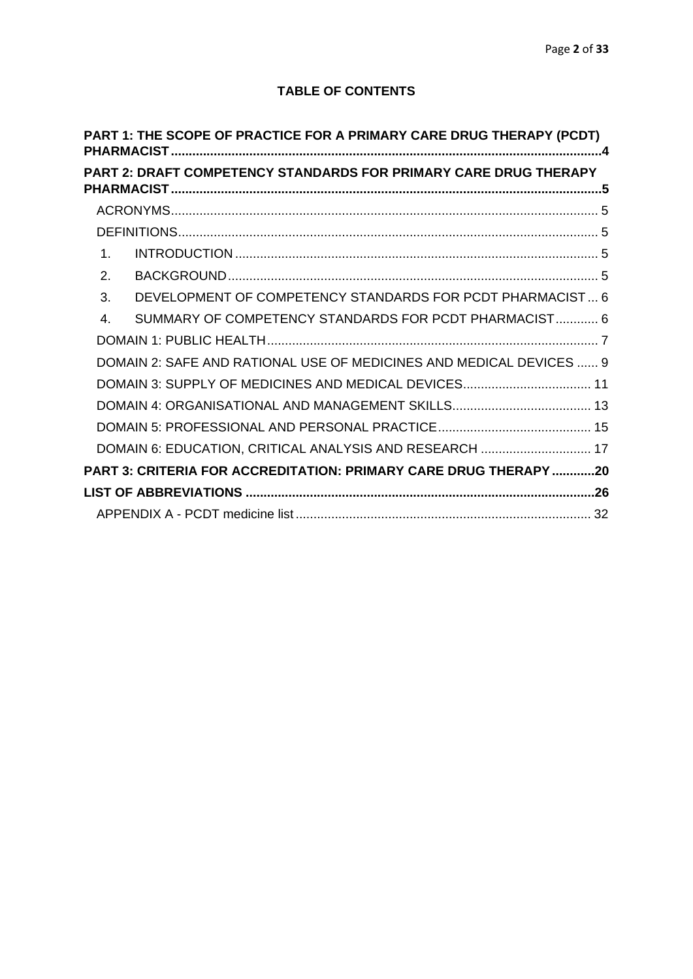# **TABLE OF CONTENTS**

<span id="page-2-0"></span>

|                | PART 1: THE SCOPE OF PRACTICE FOR A PRIMARY CARE DRUG THERAPY (PCDT) |  |
|----------------|----------------------------------------------------------------------|--|
|                | PART 2: DRAFT COMPETENCY STANDARDS FOR PRIMARY CARE DRUG THERAPY     |  |
|                |                                                                      |  |
|                |                                                                      |  |
| 1 <sup>1</sup> |                                                                      |  |
| 2.             |                                                                      |  |
| 3.             | DEVELOPMENT OF COMPETENCY STANDARDS FOR PCDT PHARMACIST 6            |  |
| $\overline{4}$ | SUMMARY OF COMPETENCY STANDARDS FOR PCDT PHARMACIST 6                |  |
|                |                                                                      |  |
|                | DOMAIN 2: SAFE AND RATIONAL USE OF MEDICINES AND MEDICAL DEVICES  9  |  |
|                |                                                                      |  |
|                |                                                                      |  |
|                |                                                                      |  |
|                | DOMAIN 6: EDUCATION, CRITICAL ANALYSIS AND RESEARCH  17              |  |
|                | PART 3: CRITERIA FOR ACCREDITATION: PRIMARY CARE DRUG THERAPY 20     |  |
|                |                                                                      |  |
|                |                                                                      |  |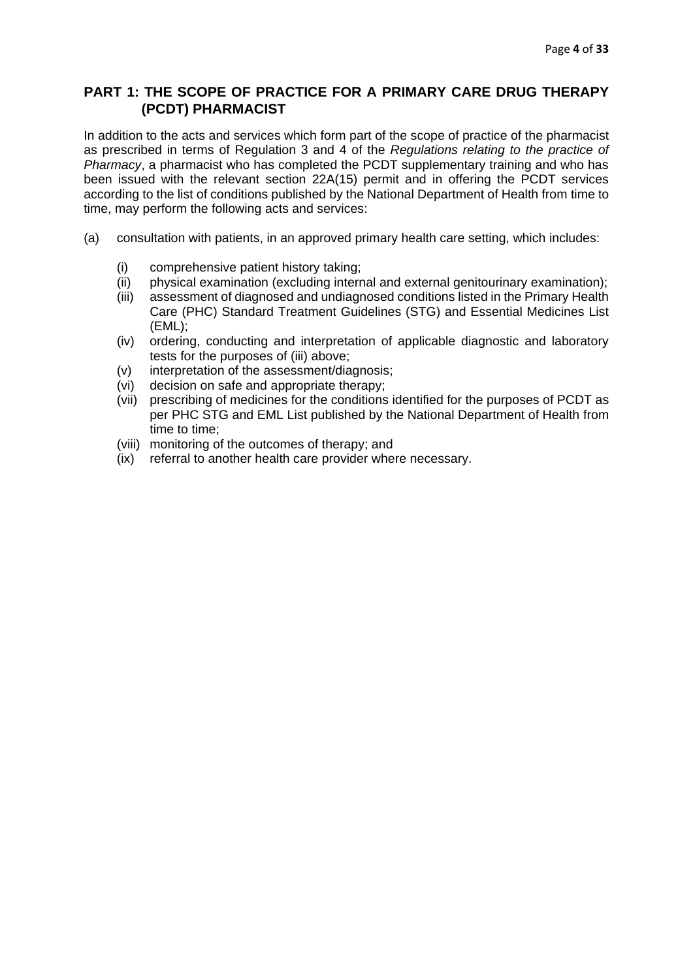# **PART 1: THE SCOPE OF PRACTICE FOR A PRIMARY CARE DRUG THERAPY (PCDT) PHARMACIST**

In addition to the acts and services which form part of the scope of practice of the pharmacist as prescribed in terms of Regulation 3 and 4 of the *Regulations relating to the practice of Pharmacy*, a pharmacist who has completed the PCDT supplementary training and who has been issued with the relevant section 22A(15) permit and in offering the PCDT services according to the list of conditions published by the National Department of Health from time to time, may perform the following acts and services:

- (a) consultation with patients, in an approved primary health care setting, which includes:
	- (i) comprehensive patient history taking;
	- (ii) physical examination (excluding internal and external genitourinary examination);
	- (iii) assessment of diagnosed and undiagnosed conditions listed in the Primary Health Care (PHC) Standard Treatment Guidelines (STG) and Essential Medicines List (EML);
	- (iv) ordering, conducting and interpretation of applicable diagnostic and laboratory tests for the purposes of (iii) above;
	- (v) interpretation of the assessment/diagnosis;
	- (vi) decision on safe and appropriate therapy;
	- (vii) prescribing of medicines for the conditions identified for the purposes of PCDT as per PHC STG and EML List published by the National Department of Health from time to time;
	- (viii) monitoring of the outcomes of therapy; and
	- (ix) referral to another health care provider where necessary.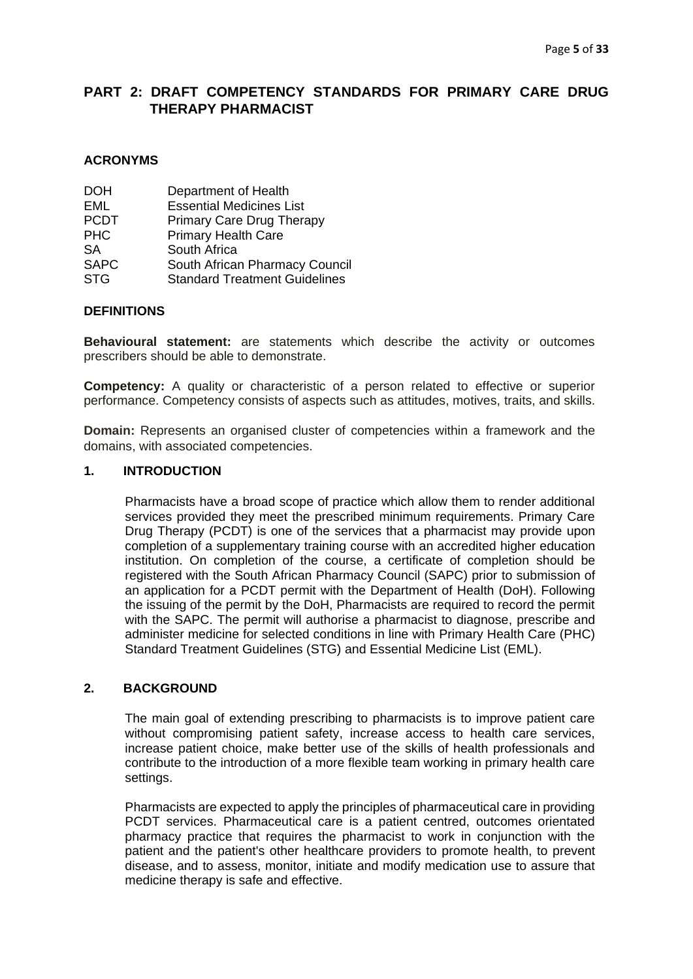# <span id="page-5-0"></span>**PART 2: DRAFT COMPETENCY STANDARDS FOR PRIMARY CARE DRUG THERAPY PHARMACIST**

#### <span id="page-5-1"></span>**ACRONYMS**

| <b>DOH</b>  | Department of Health                 |
|-------------|--------------------------------------|
| EML         | <b>Essential Medicines List</b>      |
| <b>PCDT</b> | <b>Primary Care Drug Therapy</b>     |
| <b>PHC</b>  | <b>Primary Health Care</b>           |
| SA          | South Africa                         |
| <b>SAPC</b> | South African Pharmacy Council       |
| <b>STG</b>  | <b>Standard Treatment Guidelines</b> |
|             |                                      |

#### <span id="page-5-2"></span>**DEFINITIONS**

**Behavioural statement:** are statements which describe the activity or outcomes prescribers should be able to demonstrate.

**Competency:** A quality or characteristic of a person related to effective or superior performance. Competency consists of aspects such as attitudes, motives, traits, and skills.

**Domain:** Represents an organised cluster of competencies within a framework and the domains, with associated competencies.

#### <span id="page-5-3"></span>**1. INTRODUCTION**

Pharmacists have a broad scope of practice which allow them to render additional services provided they meet the prescribed minimum requirements. Primary Care Drug Therapy (PCDT) is one of the services that a pharmacist may provide upon completion of a supplementary training course with an accredited higher education institution. On completion of the course, a certificate of completion should be registered with the South African Pharmacy Council (SAPC) prior to submission of an application for a PCDT permit with the Department of Health (DoH). Following the issuing of the permit by the DoH, Pharmacists are required to record the permit with the SAPC. The permit will authorise a pharmacist to diagnose, prescribe and administer medicine for selected conditions in line with Primary Health Care (PHC) Standard Treatment Guidelines (STG) and Essential Medicine List (EML).

#### <span id="page-5-4"></span>**2. BACKGROUND**

The main goal of extending prescribing to pharmacists is to improve patient care without compromising patient safety, increase access to health care services, increase patient choice, make better use of the skills of health professionals and contribute to the introduction of a more flexible team working in primary health care settings.

Pharmacists are expected to apply the principles of pharmaceutical care in providing PCDT services. Pharmaceutical care is a patient centred, outcomes orientated pharmacy practice that requires the pharmacist to work in conjunction with the patient and the patient's other healthcare providers to promote health, to prevent disease, and to assess, monitor, initiate and modify medication use to assure that medicine therapy is safe and effective.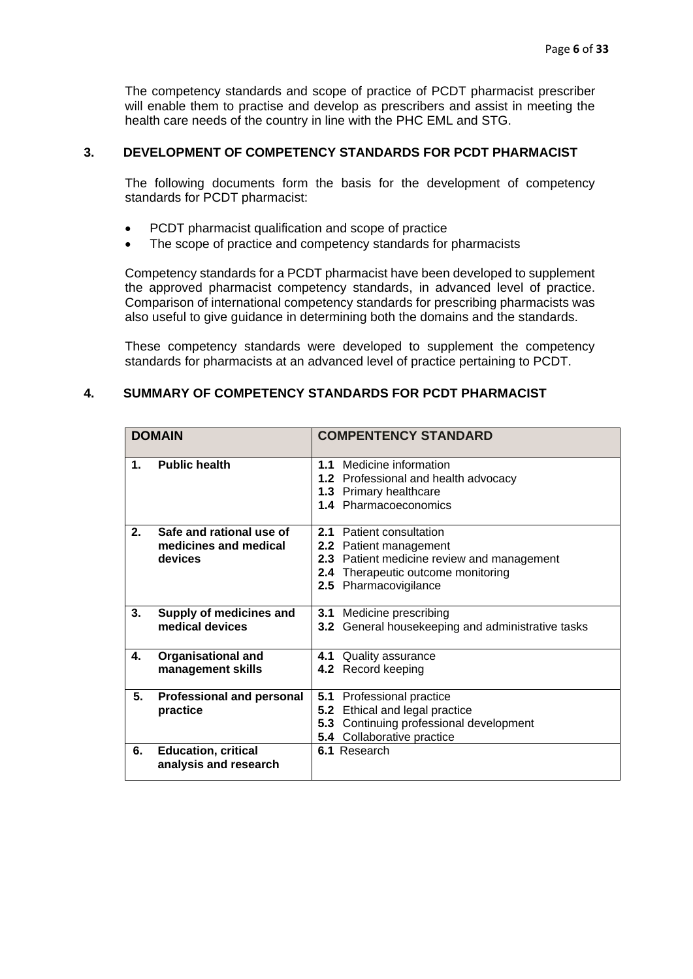The competency standards and scope of practice of PCDT pharmacist prescriber will enable them to practise and develop as prescribers and assist in meeting the health care needs of the country in line with the PHC EML and STG.

## <span id="page-6-0"></span>**3. DEVELOPMENT OF COMPETENCY STANDARDS FOR PCDT PHARMACIST**

The following documents form the basis for the development of competency standards for PCDT pharmacist:

- PCDT pharmacist qualification and scope of practice
- The scope of practice and competency standards for pharmacists

Competency standards for a PCDT pharmacist have been developed to supplement the approved pharmacist competency standards, in advanced level of practice. Comparison of international competency standards for prescribing pharmacists was also useful to give guidance in determining both the domains and the standards.

These competency standards were developed to supplement the competency standards for pharmacists at an advanced level of practice pertaining to PCDT.

#### <span id="page-6-1"></span>**4. SUMMARY OF COMPETENCY STANDARDS FOR PCDT PHARMACIST**

| <b>DOMAIN</b> |                                                              |     | <b>COMPENTENCY STANDARD</b>                                                                                                                                     |
|---------------|--------------------------------------------------------------|-----|-----------------------------------------------------------------------------------------------------------------------------------------------------------------|
| 1.            | <b>Public health</b>                                         |     | <b>1.1</b> Medicine information<br>1.2 Professional and health advocacy<br>1.3 Primary healthcare<br><b>1.4 Pharmacoeconomics</b>                               |
| 2.            | Safe and rational use of<br>medicines and medical<br>devices |     | 2.1 Patient consultation<br>2.2 Patient management<br>2.3 Patient medicine review and management<br>2.4 Therapeutic outcome monitoring<br>2.5 Pharmacovigilance |
| 3.            | Supply of medicines and<br>medical devices                   |     | 3.1 Medicine prescribing<br>3.2 General housekeeping and administrative tasks                                                                                   |
| 4.            | <b>Organisational and</b><br>management skills               |     | 4.1 Quality assurance<br>4.2 Record keeping                                                                                                                     |
| 5.            | <b>Professional and personal</b><br>practice                 | 5.1 | Professional practice<br>5.2 Ethical and legal practice<br>5.3 Continuing professional development<br><b>5.4</b> Collaborative practice                         |
| 6.            | <b>Education, critical</b><br>analysis and research          |     | 6.1 Research                                                                                                                                                    |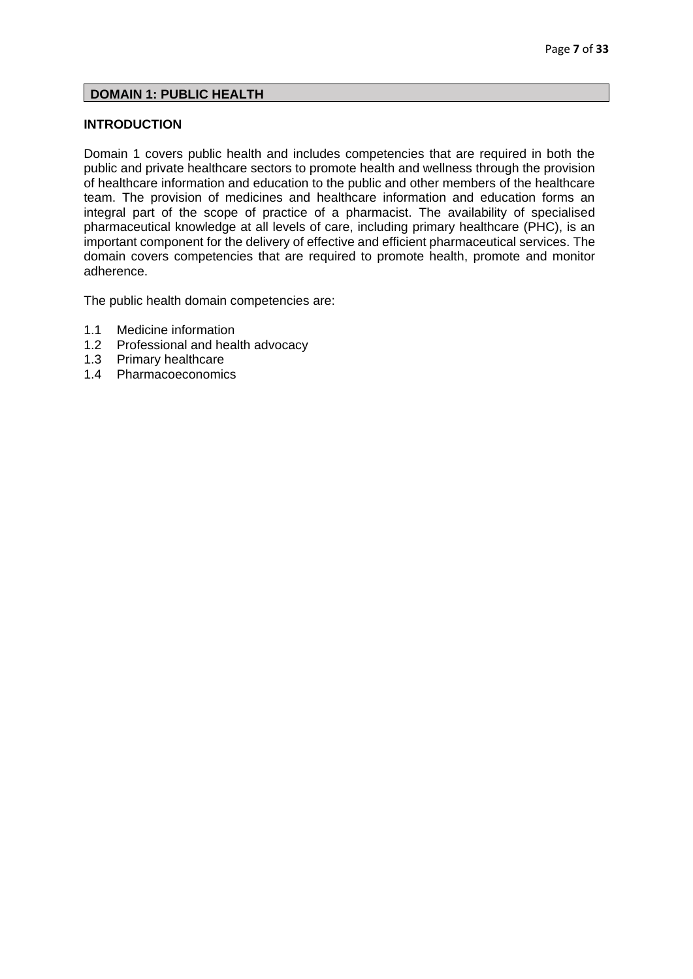#### <span id="page-7-0"></span>**DOMAIN 1: PUBLIC HEALTH**

## **INTRODUCTION**

Domain 1 covers public health and includes competencies that are required in both the public and private healthcare sectors to promote health and wellness through the provision of healthcare information and education to the public and other members of the healthcare team. The provision of medicines and healthcare information and education forms an integral part of the scope of practice of a pharmacist. The availability of specialised pharmaceutical knowledge at all levels of care, including primary healthcare (PHC), is an important component for the delivery of effective and efficient pharmaceutical services. The domain covers competencies that are required to promote health, promote and monitor adherence.

The public health domain competencies are:

- 1.1 Medicine information
- 1.2 Professional and health advocacy
- 1.3 Primary healthcare
- 1.4 Pharmacoeconomics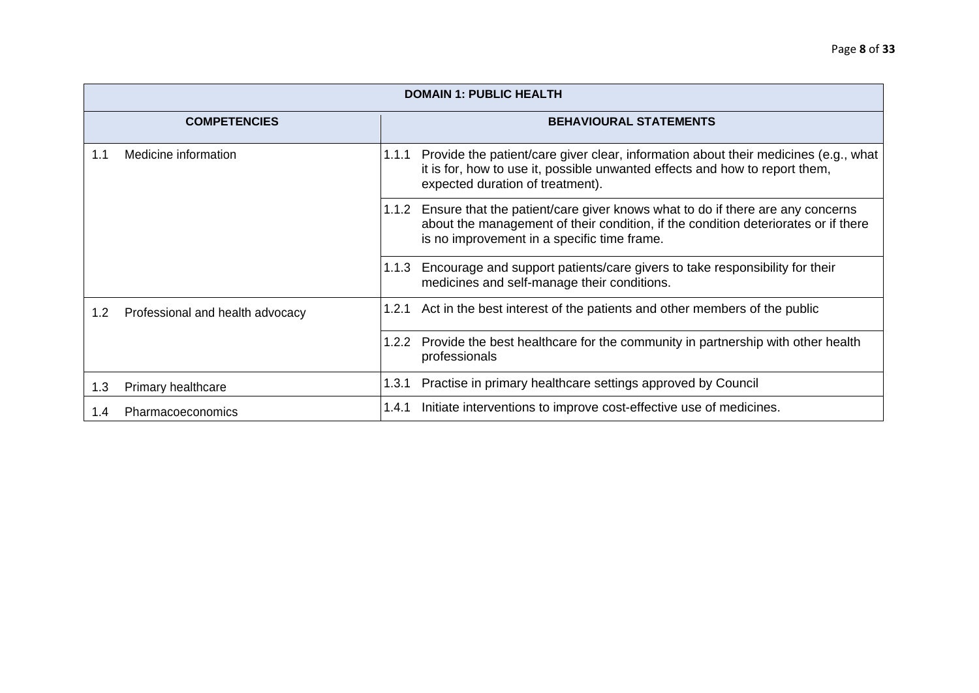|     | <b>DOMAIN 1: PUBLIC HEALTH</b>   |       |                                                                                                                                                                                                                          |  |  |
|-----|----------------------------------|-------|--------------------------------------------------------------------------------------------------------------------------------------------------------------------------------------------------------------------------|--|--|
|     | <b>COMPETENCIES</b>              |       | <b>BEHAVIOURAL STATEMENTS</b>                                                                                                                                                                                            |  |  |
| 1.1 | Medicine information             |       | 1.1.1 Provide the patient/care giver clear, information about their medicines (e.g., what<br>it is for, how to use it, possible unwanted effects and how to report them,<br>expected duration of treatment).             |  |  |
|     |                                  |       | 1.1.2 Ensure that the patient/care giver knows what to do if there are any concerns<br>about the management of their condition, if the condition deteriorates or if there<br>is no improvement in a specific time frame. |  |  |
|     |                                  | 1.1.3 | Encourage and support patients/care givers to take responsibility for their<br>medicines and self-manage their conditions.                                                                                               |  |  |
| 1.2 | Professional and health advocacy |       | 1.2.1 Act in the best interest of the patients and other members of the public                                                                                                                                           |  |  |
|     |                                  | 1.2.2 | Provide the best healthcare for the community in partnership with other health<br>professionals                                                                                                                          |  |  |
| 1.3 | Primary healthcare               |       | 1.3.1 Practise in primary healthcare settings approved by Council                                                                                                                                                        |  |  |
| 1.4 | Pharmacoeconomics                | 1.4.1 | Initiate interventions to improve cost-effective use of medicines.                                                                                                                                                       |  |  |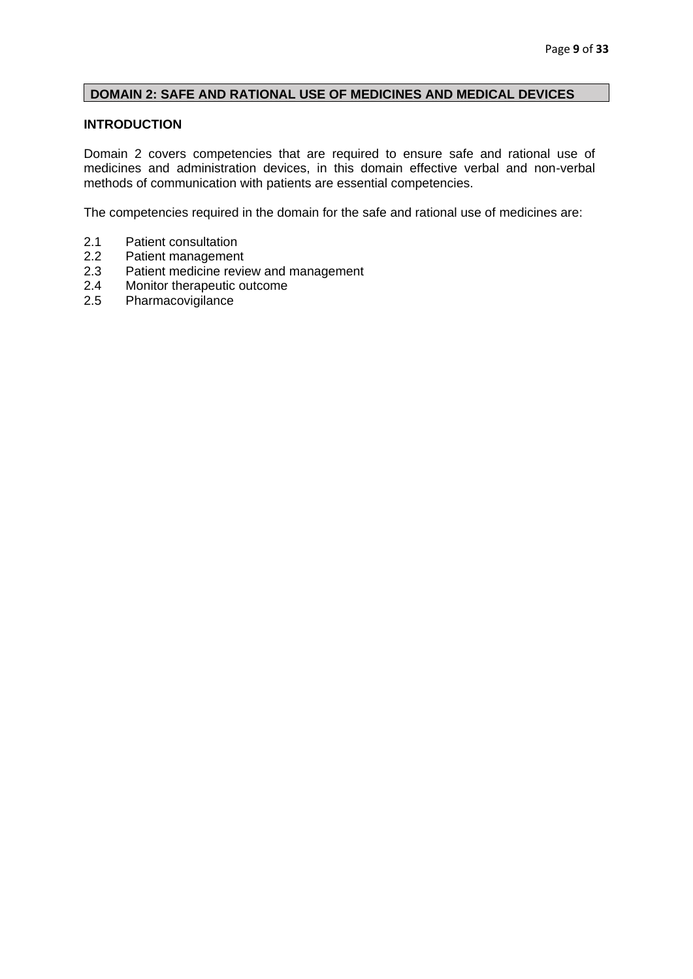## <span id="page-9-0"></span>**DOMAIN 2: SAFE AND RATIONAL USE OF MEDICINES AND MEDICAL DEVICES**

## **INTRODUCTION**

Domain 2 covers competencies that are required to ensure safe and rational use of medicines and administration devices, in this domain effective verbal and non-verbal methods of communication with patients are essential competencies.

The competencies required in the domain for the safe and rational use of medicines are:

- 2.1 Patient consultation
- 
- 2.2 Patient management<br>2.3 Patient medicine revie 2.3 Patient medicine review and management<br>2.4 Monitor therapeutic outcome
- Monitor therapeutic outcome
- 2.5 Pharmacovigilance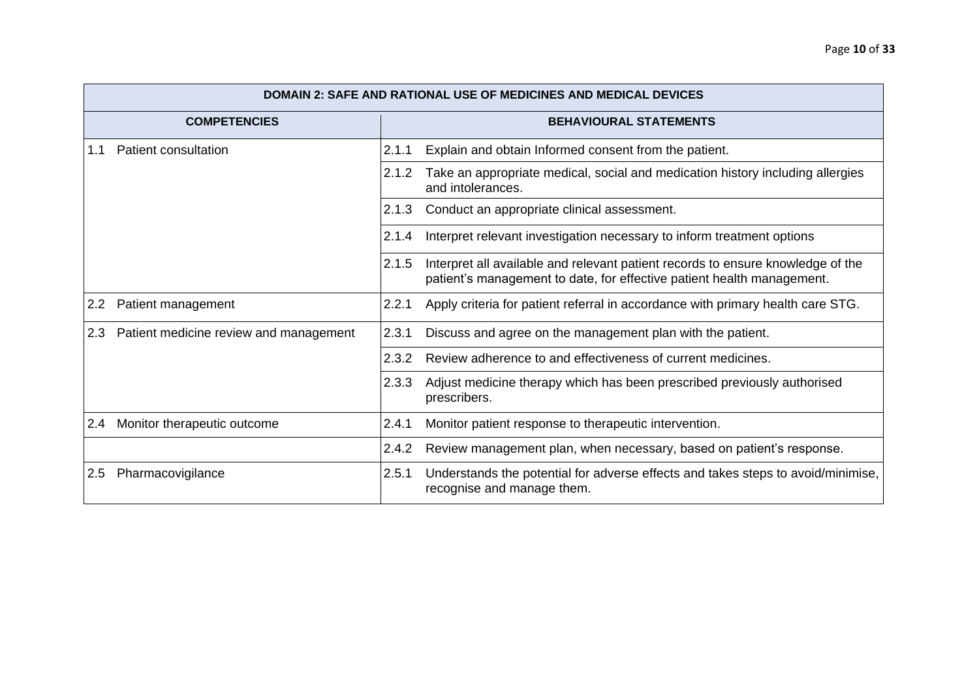|                     | <b>DOMAIN 2: SAFE AND RATIONAL USE OF MEDICINES AND MEDICAL DEVICES</b> |       |                                                                                                                                                           |  |  |
|---------------------|-------------------------------------------------------------------------|-------|-----------------------------------------------------------------------------------------------------------------------------------------------------------|--|--|
| <b>COMPETENCIES</b> |                                                                         |       | <b>BEHAVIOURAL STATEMENTS</b>                                                                                                                             |  |  |
| 1.1                 | Patient consultation                                                    | 2.1.1 | Explain and obtain Informed consent from the patient.                                                                                                     |  |  |
|                     |                                                                         | 2.1.2 | Take an appropriate medical, social and medication history including allergies<br>and intolerances.                                                       |  |  |
|                     |                                                                         | 2.1.3 | Conduct an appropriate clinical assessment.                                                                                                               |  |  |
|                     |                                                                         | 2.1.4 | Interpret relevant investigation necessary to inform treatment options                                                                                    |  |  |
|                     |                                                                         | 2.1.5 | Interpret all available and relevant patient records to ensure knowledge of the<br>patient's management to date, for effective patient health management. |  |  |
| 2.2                 | Patient management                                                      | 2.2.1 | Apply criteria for patient referral in accordance with primary health care STG.                                                                           |  |  |
| 2.3                 | Patient medicine review and management                                  | 2.3.1 | Discuss and agree on the management plan with the patient.                                                                                                |  |  |
|                     | 2.3.2                                                                   |       | Review adherence to and effectiveness of current medicines.                                                                                               |  |  |
|                     |                                                                         | 2.3.3 | Adjust medicine therapy which has been prescribed previously authorised<br>prescribers.                                                                   |  |  |
| 2.4                 | Monitor therapeutic outcome                                             | 2.4.1 | Monitor patient response to therapeutic intervention.                                                                                                     |  |  |
|                     |                                                                         | 2.4.2 | Review management plan, when necessary, based on patient's response.                                                                                      |  |  |
| 2.5                 | Pharmacovigilance                                                       | 2.5.1 | Understands the potential for adverse effects and takes steps to avoid/minimise,<br>recognise and manage them.                                            |  |  |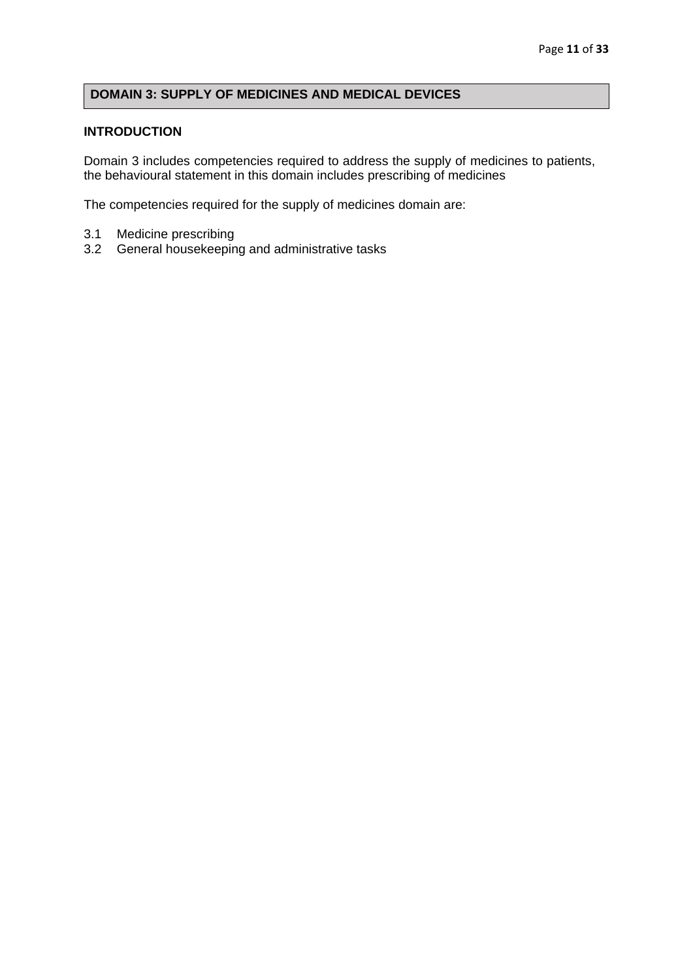# <span id="page-11-0"></span>**DOMAIN 3: SUPPLY OF MEDICINES AND MEDICAL DEVICES**

#### **INTRODUCTION**

Domain 3 includes competencies required to address the supply of medicines to patients, the behavioural statement in this domain includes prescribing of medicines

The competencies required for the supply of medicines domain are:

- 3.1 Medicine prescribing
- 3.2 General housekeeping and administrative tasks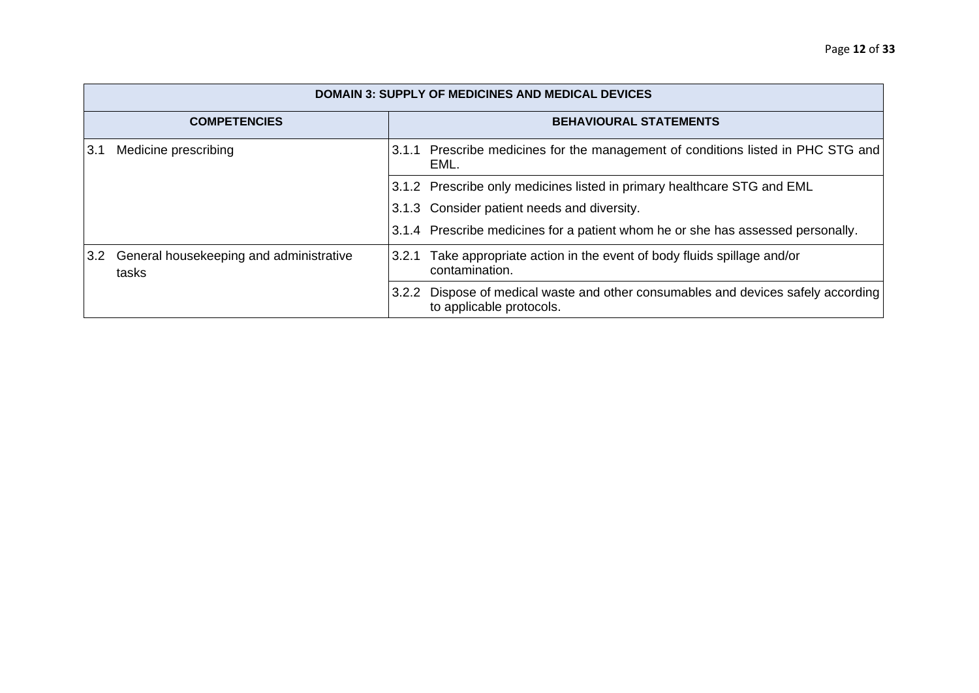|     | <b>DOMAIN 3: SUPPLY OF MEDICINES AND MEDICAL DEVICES</b> |       |                                                                                                         |  |  |
|-----|----------------------------------------------------------|-------|---------------------------------------------------------------------------------------------------------|--|--|
|     | <b>COMPETENCIES</b>                                      |       | <b>BEHAVIOURAL STATEMENTS</b>                                                                           |  |  |
| 3.1 | Medicine prescribing                                     |       | 3.1.1 Prescribe medicines for the management of conditions listed in PHC STG and<br>EML.                |  |  |
|     |                                                          |       | 3.1.2 Prescribe only medicines listed in primary healthcare STG and EML                                 |  |  |
|     |                                                          |       | 3.1.3 Consider patient needs and diversity.                                                             |  |  |
|     |                                                          |       | 3.1.4 Prescribe medicines for a patient whom he or she has assessed personally.                         |  |  |
| 3.2 | General housekeeping and administrative<br>tasks         | 3.2.1 | Take appropriate action in the event of body fluids spillage and/or<br>contamination.                   |  |  |
|     |                                                          | 3.2.2 | Dispose of medical waste and other consumables and devices safely according<br>to applicable protocols. |  |  |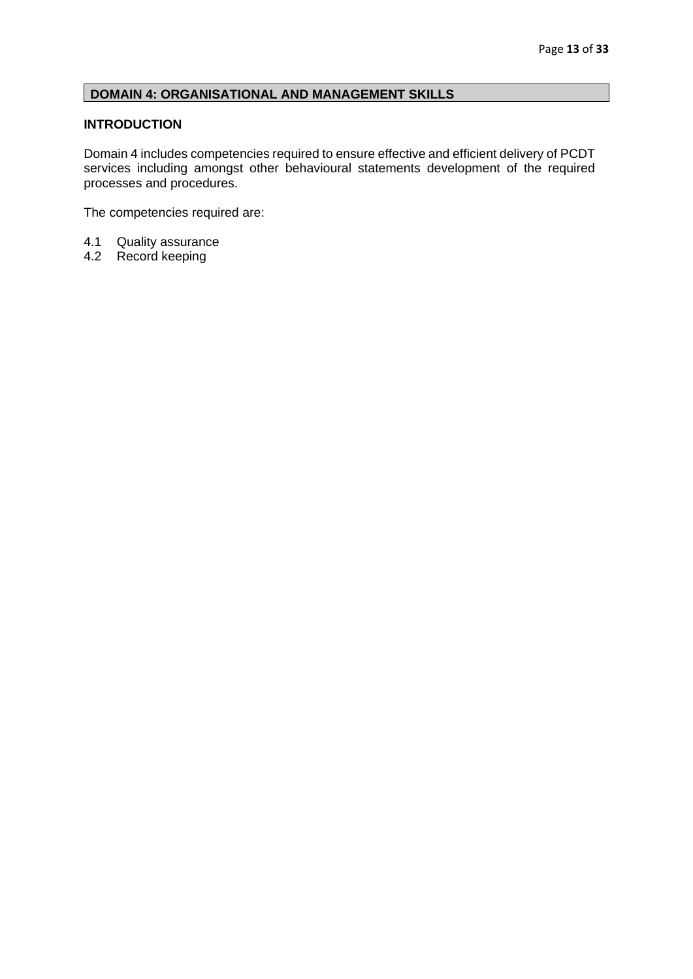# <span id="page-13-0"></span>**DOMAIN 4: ORGANISATIONAL AND MANAGEMENT SKILLS**

## **INTRODUCTION**

Domain 4 includes competencies required to ensure effective and efficient delivery of PCDT services including amongst other behavioural statements development of the required processes and procedures.

The competencies required are:

- 4.1 Quality assurance<br>4.2 Record keeping
- Record keeping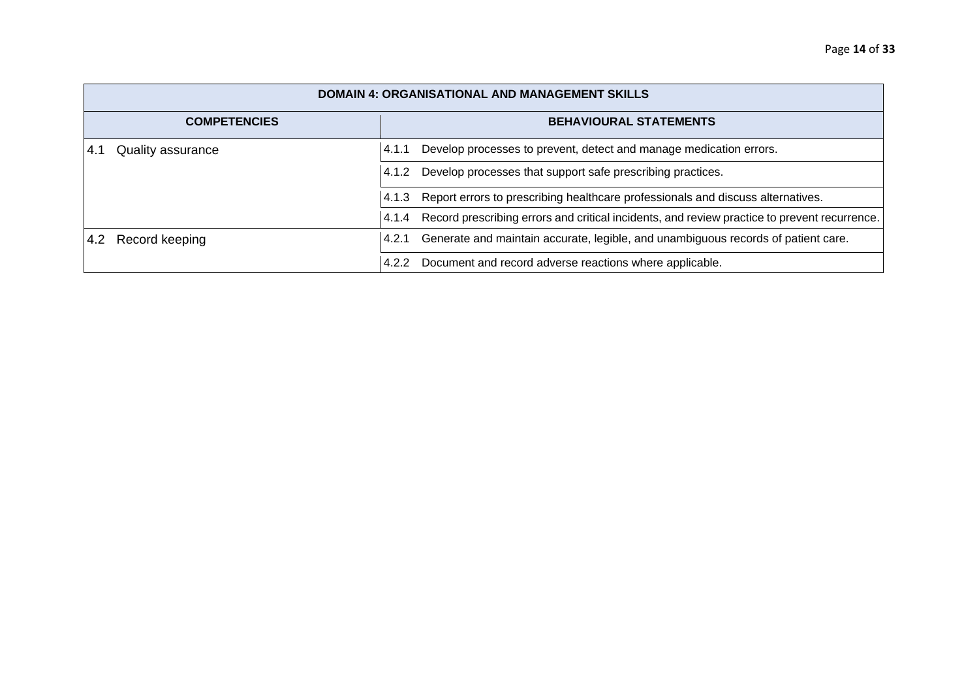| <b>DOMAIN 4: ORGANISATIONAL AND MANAGEMENT SKILLS</b> |                                                                                                       |  |  |
|-------------------------------------------------------|-------------------------------------------------------------------------------------------------------|--|--|
| <b>BEHAVIOURAL STATEMENTS</b><br><b>COMPETENCIES</b>  |                                                                                                       |  |  |
| <b>Quality assurance</b><br>-4.1                      | Develop processes to prevent, detect and manage medication errors.<br>4.1.1                           |  |  |
|                                                       | Develop processes that support safe prescribing practices.<br>4.1.2                                   |  |  |
|                                                       | Report errors to prescribing healthcare professionals and discuss alternatives.<br>4.1.3              |  |  |
|                                                       | Record prescribing errors and critical incidents, and review practice to prevent recurrence.<br>4.1.4 |  |  |
| Record keeping<br>4.2                                 | Generate and maintain accurate, legible, and unambiguous records of patient care.<br>4.2.1            |  |  |
|                                                       | Document and record adverse reactions where applicable.<br>4.2.2                                      |  |  |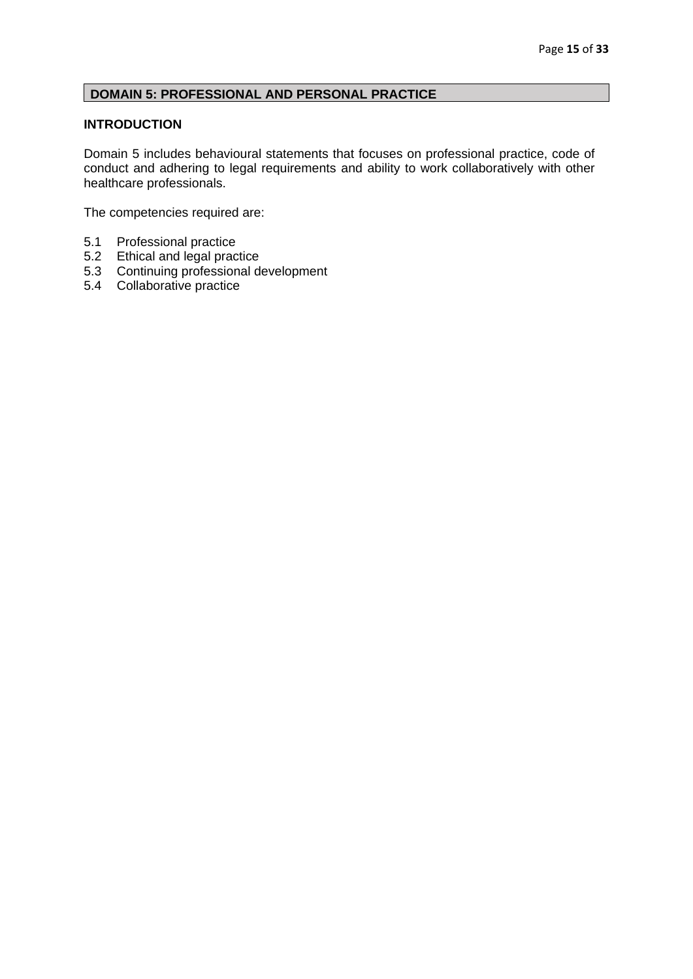# <span id="page-15-0"></span>**DOMAIN 5: PROFESSIONAL AND PERSONAL PRACTICE**

## **INTRODUCTION**

Domain 5 includes behavioural statements that focuses on professional practice, code of conduct and adhering to legal requirements and ability to work collaboratively with other healthcare professionals.

The competencies required are:

- 5.1 Professional practice
- 5.2 Ethical and legal practice
- 5.3 Continuing professional development
- 5.4 Collaborative practice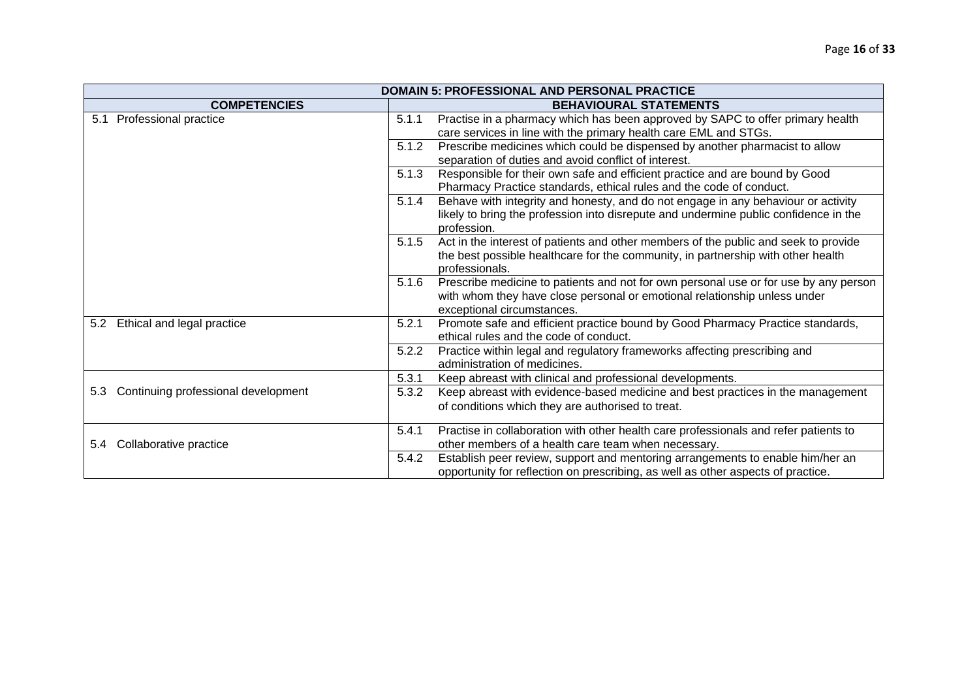| <b>DOMAIN 5: PROFESSIONAL AND PERSONAL PRACTICE</b>  |                                                                                                                                                                                                          |  |  |
|------------------------------------------------------|----------------------------------------------------------------------------------------------------------------------------------------------------------------------------------------------------------|--|--|
| <b>COMPETENCIES</b><br><b>BEHAVIOURAL STATEMENTS</b> |                                                                                                                                                                                                          |  |  |
| 5.1 Professional practice                            | Practise in a pharmacy which has been approved by SAPC to offer primary health<br>5.1.1<br>care services in line with the primary health care EML and STGs.                                              |  |  |
|                                                      | Prescribe medicines which could be dispensed by another pharmacist to allow<br>5.1.2<br>separation of duties and avoid conflict of interest.                                                             |  |  |
|                                                      | 5.1.3<br>Responsible for their own safe and efficient practice and are bound by Good<br>Pharmacy Practice standards, ethical rules and the code of conduct.                                              |  |  |
|                                                      | Behave with integrity and honesty, and do not engage in any behaviour or activity<br>5.1.4<br>likely to bring the profession into disrepute and undermine public confidence in the<br>profession.        |  |  |
|                                                      | Act in the interest of patients and other members of the public and seek to provide<br>5.1.5<br>the best possible healthcare for the community, in partnership with other health<br>professionals.       |  |  |
|                                                      | Prescribe medicine to patients and not for own personal use or for use by any person<br>5.1.6<br>with whom they have close personal or emotional relationship unless under<br>exceptional circumstances. |  |  |
| 5.2 Ethical and legal practice                       | Promote safe and efficient practice bound by Good Pharmacy Practice standards,<br>5.2.1<br>ethical rules and the code of conduct.                                                                        |  |  |
|                                                      | 5.2.2<br>Practice within legal and regulatory frameworks affecting prescribing and<br>administration of medicines.                                                                                       |  |  |
|                                                      | 5.3.1<br>Keep abreast with clinical and professional developments.                                                                                                                                       |  |  |
| Continuing professional development<br>5.3           | Keep abreast with evidence-based medicine and best practices in the management<br>5.3.2<br>of conditions which they are authorised to treat.                                                             |  |  |
| Collaborative practice<br>5.4                        | 5.4.1<br>Practise in collaboration with other health care professionals and refer patients to<br>other members of a health care team when necessary.                                                     |  |  |
|                                                      | 5.4.2<br>Establish peer review, support and mentoring arrangements to enable him/her an<br>opportunity for reflection on prescribing, as well as other aspects of practice.                              |  |  |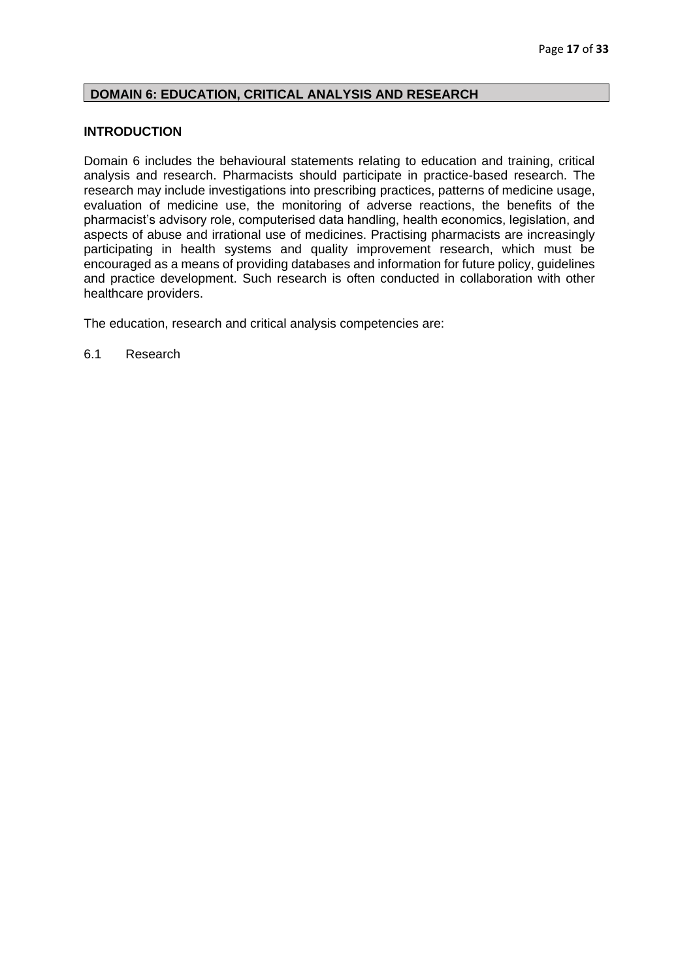## <span id="page-17-0"></span>**DOMAIN 6: EDUCATION, CRITICAL ANALYSIS AND RESEARCH**

#### **INTRODUCTION**

Domain 6 includes the behavioural statements relating to education and training, critical analysis and research. Pharmacists should participate in practice-based research. The research may include investigations into prescribing practices, patterns of medicine usage, evaluation of medicine use, the monitoring of adverse reactions, the benefits of the pharmacist's advisory role, computerised data handling, health economics, legislation, and aspects of abuse and irrational use of medicines. Practising pharmacists are increasingly participating in health systems and quality improvement research, which must be encouraged as a means of providing databases and information for future policy, guidelines and practice development. Such research is often conducted in collaboration with other healthcare providers.

The education, research and critical analysis competencies are:

6.1 Research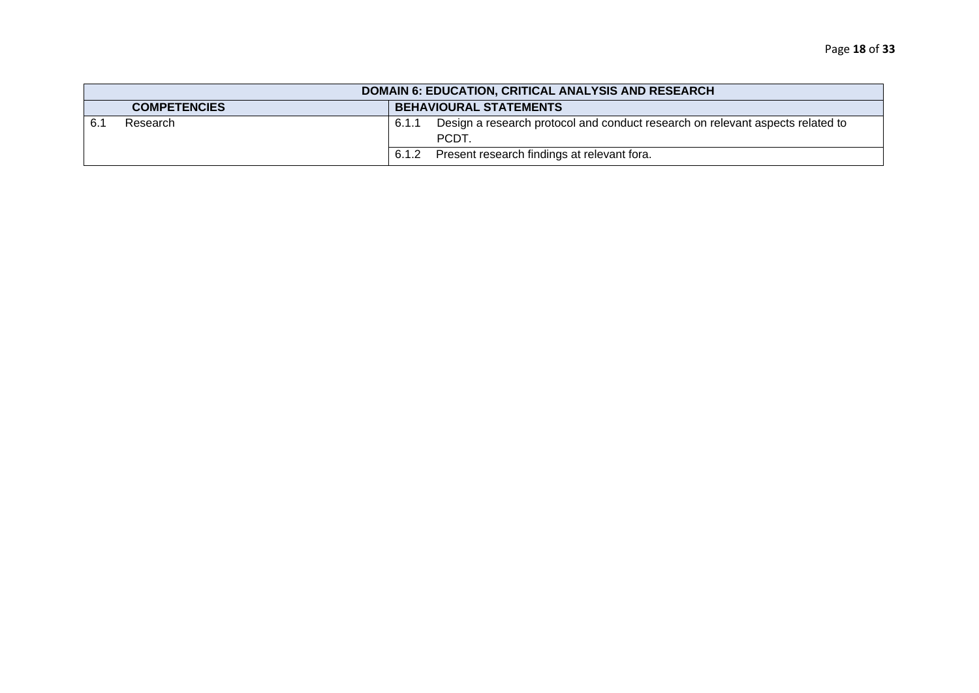|                                                      | <b>DOMAIN 6: EDUCATION, CRITICAL ANALYSIS AND RESEARCH</b> |       |                                                                                               |  |  |
|------------------------------------------------------|------------------------------------------------------------|-------|-----------------------------------------------------------------------------------------------|--|--|
| <b>BEHAVIOURAL STATEMENTS</b><br><b>COMPETENCIES</b> |                                                            |       |                                                                                               |  |  |
| Research                                             |                                                            | 6.1.1 | Design a research protocol and conduct research on relevant aspects related to<br><b>PCDT</b> |  |  |
|                                                      |                                                            | 6.1.2 | Present research findings at relevant fora.                                                   |  |  |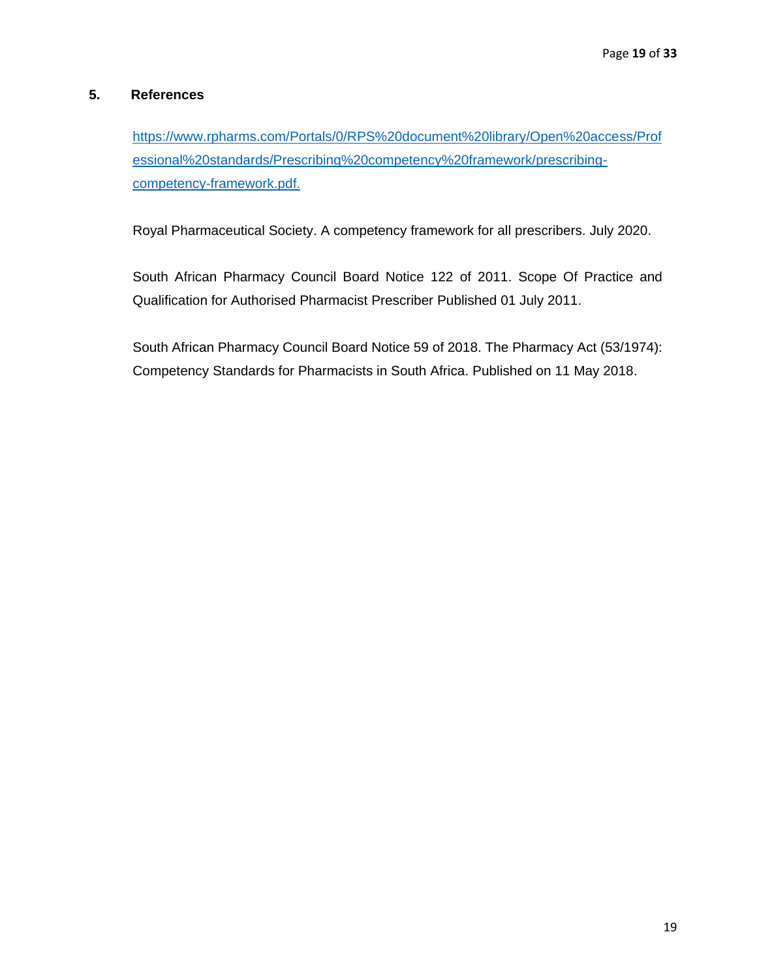## **5. References**

[https://www.rpharms.com/Portals/0/RPS%20document%20library/Open%20access/Prof](https://www.rpharms.com/Portals/0/RPS%20document%20library/Open%20access/Professional%20standards/Prescribing%20competency%20framework/prescribing-competency-framework.pdf) [essional%20standards/Prescribing%20competency%20framework/prescribing](https://www.rpharms.com/Portals/0/RPS%20document%20library/Open%20access/Professional%20standards/Prescribing%20competency%20framework/prescribing-competency-framework.pdf)[competency-framework.pdf.](https://www.rpharms.com/Portals/0/RPS%20document%20library/Open%20access/Professional%20standards/Prescribing%20competency%20framework/prescribing-competency-framework.pdf)

Royal Pharmaceutical Society. A competency framework for all prescribers. July 2020.

South African Pharmacy Council Board Notice 122 of 2011. Scope Of Practice and Qualification for Authorised Pharmacist Prescriber Published 01 July 2011.

South African Pharmacy Council Board Notice 59 of 2018. The Pharmacy Act (53/1974): Competency Standards for Pharmacists in South Africa. Published on 11 May 2018.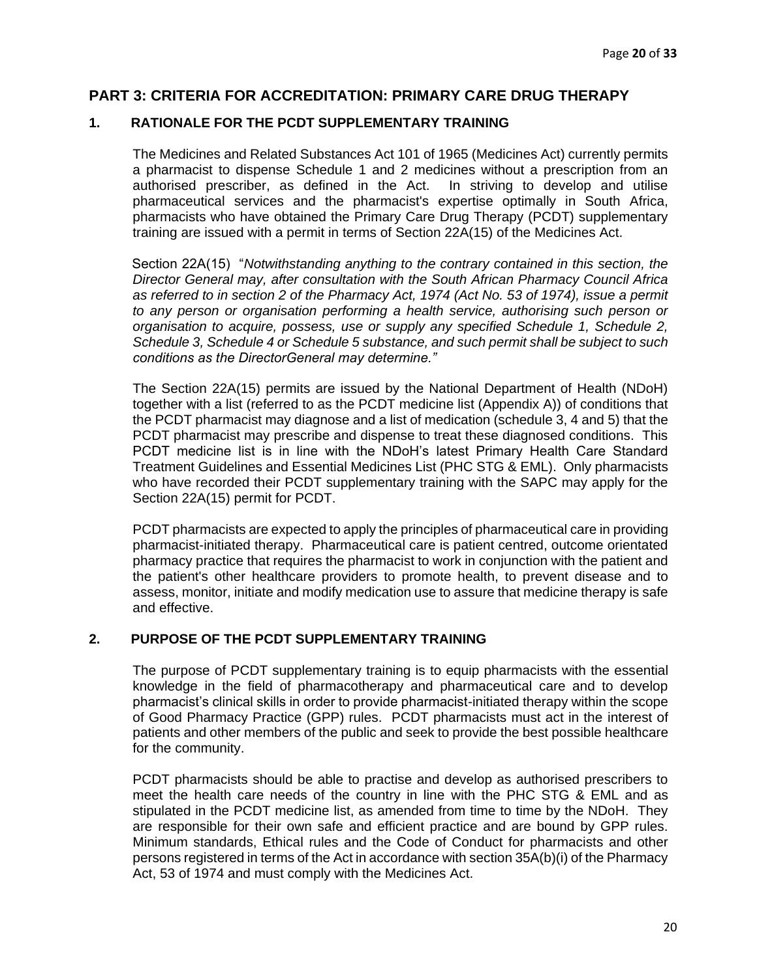## **PART 3: CRITERIA FOR ACCREDITATION: PRIMARY CARE DRUG THERAPY**

#### <span id="page-20-0"></span>**1. RATIONALE FOR THE PCDT SUPPLEMENTARY TRAINING**

The Medicines and Related Substances Act 101 of 1965 (Medicines Act) currently permits a pharmacist to dispense Schedule 1 and 2 medicines without a prescription from an authorised prescriber, as defined in the Act. In striving to develop and utilise pharmaceutical services and the pharmacist's expertise optimally in South Africa, pharmacists who have obtained the Primary Care Drug Therapy (PCDT) supplementary training are issued with a permit in terms of Section 22A(15) of the Medicines Act.

Section 22A(15) "*Notwithstanding anything to the contrary contained in this section, the Director General may, after consultation with the South African Pharmacy Council Africa as referred to in section 2 of the Pharmacy Act, 1974 (Act No. 53 of 1974), issue a permit to any person or organisation performing a health service, authorising such person or organisation to acquire, possess, use or supply any specified Schedule 1, Schedule 2, Schedule 3, Schedule 4 or Schedule 5 substance, and such permit shall be subject to such conditions as the DirectorGeneral may determine."*

The Section 22A(15) permits are issued by the National Department of Health (NDoH) together with a list (referred to as the PCDT medicine list (Appendix A)) of conditions that the PCDT pharmacist may diagnose and a list of medication (schedule 3, 4 and 5) that the PCDT pharmacist may prescribe and dispense to treat these diagnosed conditions. This PCDT medicine list is in line with the NDoH's latest Primary Health Care Standard Treatment Guidelines and Essential Medicines List (PHC STG & EML). Only pharmacists who have recorded their PCDT supplementary training with the SAPC may apply for the Section 22A(15) permit for PCDT.

PCDT pharmacists are expected to apply the principles of pharmaceutical care in providing pharmacist-initiated therapy. Pharmaceutical care is patient centred, outcome orientated pharmacy practice that requires the pharmacist to work in conjunction with the patient and the patient's other healthcare providers to promote health, to prevent disease and to assess, monitor, initiate and modify medication use to assure that medicine therapy is safe and effective.

## **2. PURPOSE OF THE PCDT SUPPLEMENTARY TRAINING**

The purpose of PCDT supplementary training is to equip pharmacists with the essential knowledge in the field of pharmacotherapy and pharmaceutical care and to develop pharmacist's clinical skills in order to provide pharmacist-initiated therapy within the scope of Good Pharmacy Practice (GPP) rules. PCDT pharmacists must act in the interest of patients and other members of the public and seek to provide the best possible healthcare for the community.

PCDT pharmacists should be able to practise and develop as authorised prescribers to meet the health care needs of the country in line with the PHC STG & EML and as stipulated in the PCDT medicine list, as amended from time to time by the NDoH. They are responsible for their own safe and efficient practice and are bound by GPP rules. Minimum standards, Ethical rules and the Code of Conduct for pharmacists and other persons registered in terms of the Act in accordance with section 35A(b)(i) of the Pharmacy Act, 53 of 1974 and must comply with the Medicines Act.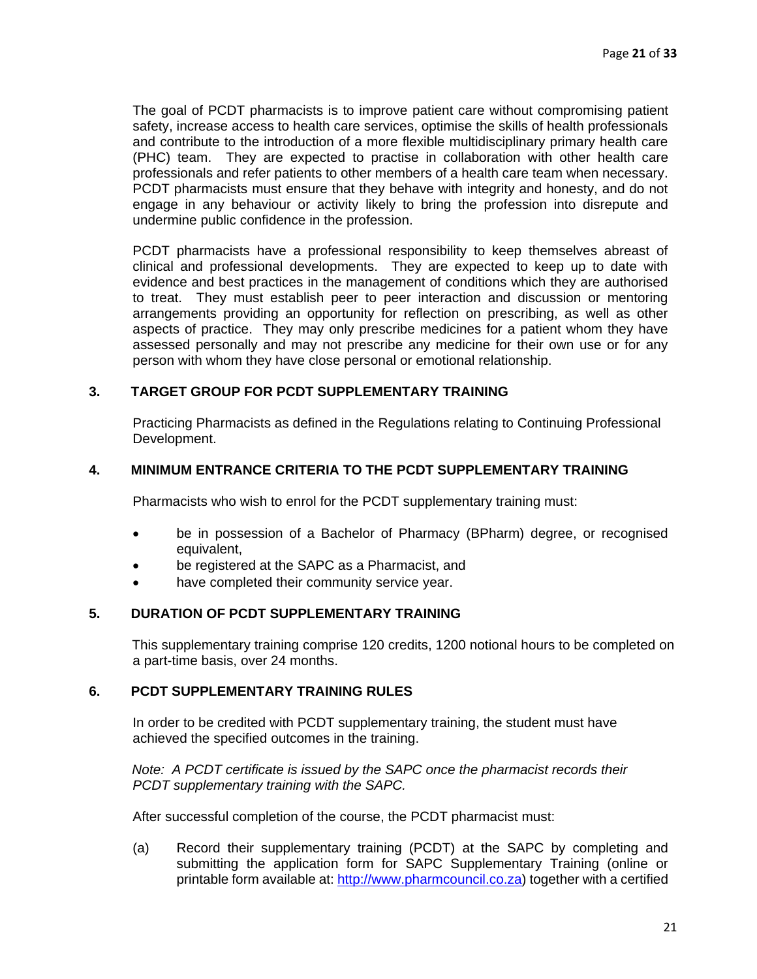The goal of PCDT pharmacists is to improve patient care without compromising patient safety, increase access to health care services, optimise the skills of health professionals and contribute to the introduction of a more flexible multidisciplinary primary health care (PHC) team. They are expected to practise in collaboration with other health care professionals and refer patients to other members of a health care team when necessary. PCDT pharmacists must ensure that they behave with integrity and honesty, and do not engage in any behaviour or activity likely to bring the profession into disrepute and undermine public confidence in the profession.

PCDT pharmacists have a professional responsibility to keep themselves abreast of clinical and professional developments. They are expected to keep up to date with evidence and best practices in the management of conditions which they are authorised to treat. They must establish peer to peer interaction and discussion or mentoring arrangements providing an opportunity for reflection on prescribing, as well as other aspects of practice. They may only prescribe medicines for a patient whom they have assessed personally and may not prescribe any medicine for their own use or for any person with whom they have close personal or emotional relationship.

#### **3. TARGET GROUP FOR PCDT SUPPLEMENTARY TRAINING**

Practicing Pharmacists as defined in the Regulations relating to Continuing Professional Development.

#### **4. MINIMUM ENTRANCE CRITERIA TO THE PCDT SUPPLEMENTARY TRAINING**

Pharmacists who wish to enrol for the PCDT supplementary training must:

- be in possession of a Bachelor of Pharmacy (BPharm) degree, or recognised equivalent,
- be registered at the SAPC as a Pharmacist, and
- have completed their community service year.

## **5. DURATION OF PCDT SUPPLEMENTARY TRAINING**

This supplementary training comprise 120 credits, 1200 notional hours to be completed on a part-time basis, over 24 months.

#### **6. PCDT SUPPLEMENTARY TRAINING RULES**

In order to be credited with PCDT supplementary training, the student must have achieved the specified outcomes in the training.

*Note: A PCDT certificate is issued by the SAPC once the pharmacist records their PCDT supplementary training with the SAPC.* 

After successful completion of the course, the PCDT pharmacist must:

(a) Record their supplementary training (PCDT) at the SAPC by completing and submitting the application form for SAPC Supplementary Training (online or printable form available at: [http://www.pharmcouncil.co.za\)](http://www.pharmcouncil.co.za/) together with a certified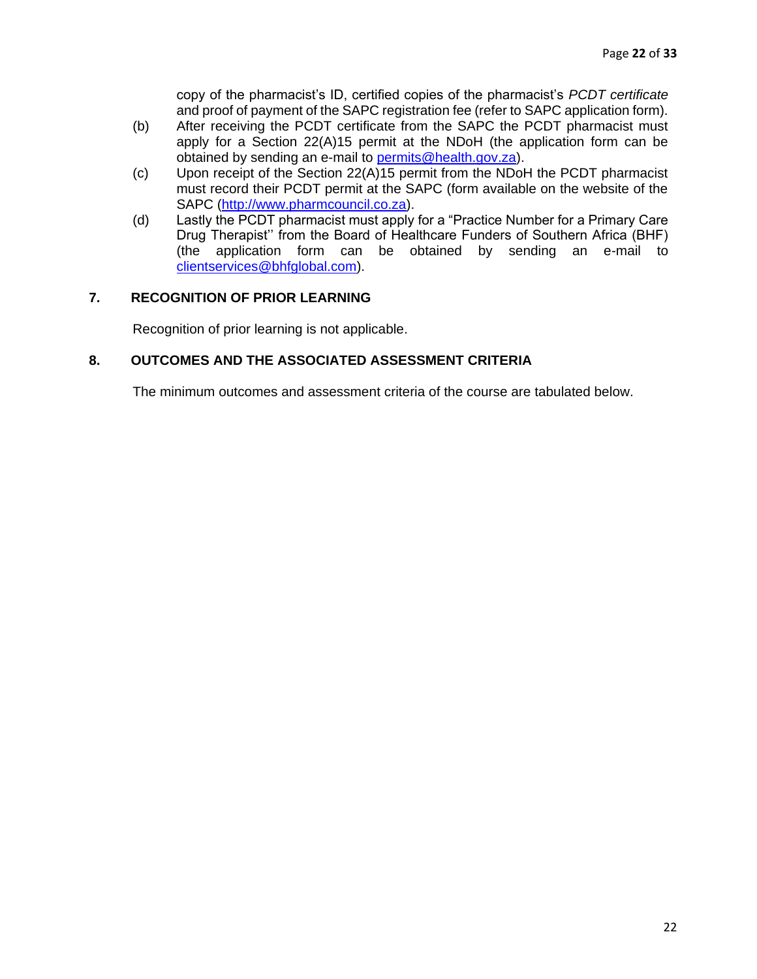copy of the pharmacist's ID, certified copies of the pharmacist's *PCDT certificate* and proof of payment of the SAPC registration fee (refer to SAPC application form).

- (b) After receiving the PCDT certificate from the SAPC the PCDT pharmacist must apply for a Section 22(A)15 permit at the NDoH (the application form can be obtained by sending an e-mail to permits@health.gov.za).
- (c) Upon receipt of the Section 22(A)15 permit from the NDoH the PCDT pharmacist must record their PCDT permit at the SAPC (form available on the website of the SAPC [\(http://www.pharmcouncil.co.za\).](http://www.pharmcouncil.co.za/)
- (d) Lastly the PCDT pharmacist must apply for a "Practice Number for a Primary Care Drug Therapist'' from the Board of Healthcare Funders of Southern Africa (BHF) (the application form can be obtained by sending an e-mail to clientservices@bhfglobal.com).

## **7. RECOGNITION OF PRIOR LEARNING**

Recognition of prior learning is not applicable.

## **8. OUTCOMES AND THE ASSOCIATED ASSESSMENT CRITERIA**

The minimum outcomes and assessment criteria of the course are tabulated below.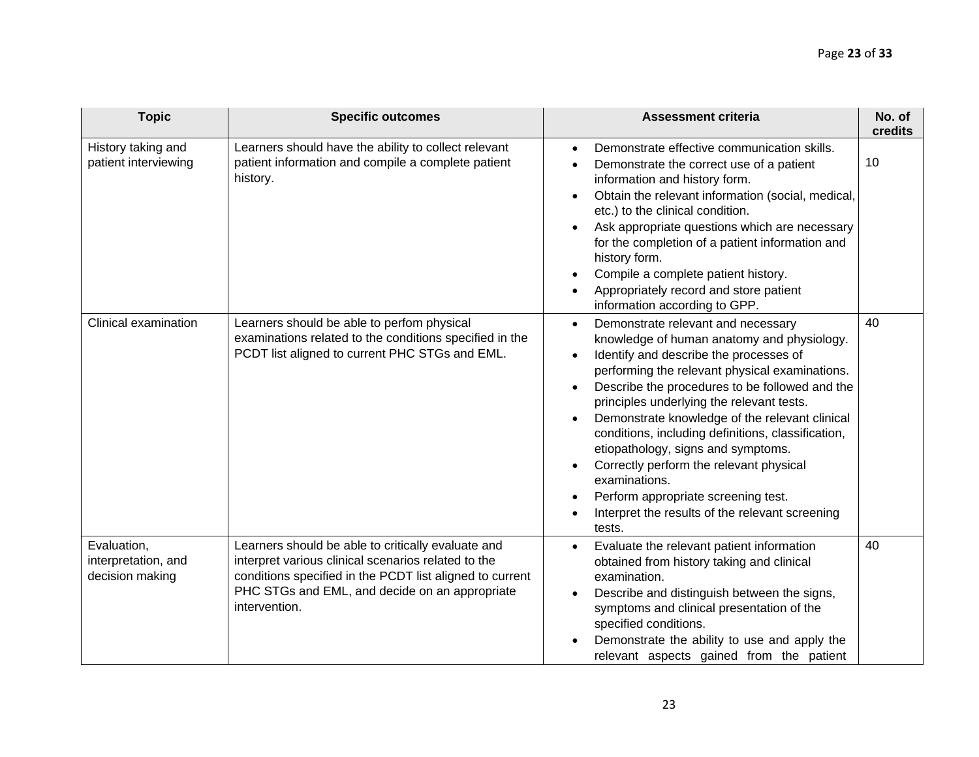| <b>Topic</b>                                          | <b>Specific outcomes</b>                                                                                                                                                                                                                 | <b>Assessment criteria</b>                                                                                                                                                                                                                                                                                                                                                                                                                                                                                                                                                                                                                    | No. of<br>credits |
|-------------------------------------------------------|------------------------------------------------------------------------------------------------------------------------------------------------------------------------------------------------------------------------------------------|-----------------------------------------------------------------------------------------------------------------------------------------------------------------------------------------------------------------------------------------------------------------------------------------------------------------------------------------------------------------------------------------------------------------------------------------------------------------------------------------------------------------------------------------------------------------------------------------------------------------------------------------------|-------------------|
| History taking and<br>patient interviewing            | Learners should have the ability to collect relevant<br>patient information and compile a complete patient<br>history.                                                                                                                   | Demonstrate effective communication skills.<br>Demonstrate the correct use of a patient<br>information and history form.<br>Obtain the relevant information (social, medical,<br>etc.) to the clinical condition.<br>Ask appropriate questions which are necessary<br>for the completion of a patient information and<br>history form.<br>Compile a complete patient history.<br>Appropriately record and store patient<br>information according to GPP.                                                                                                                                                                                      | 10                |
| Clinical examination                                  | Learners should be able to perfom physical<br>examinations related to the conditions specified in the<br>PCDT list aligned to current PHC STGs and EML.                                                                                  | Demonstrate relevant and necessary<br>$\bullet$<br>knowledge of human anatomy and physiology.<br>Identify and describe the processes of<br>$\bullet$<br>performing the relevant physical examinations.<br>Describe the procedures to be followed and the<br>$\bullet$<br>principles underlying the relevant tests.<br>Demonstrate knowledge of the relevant clinical<br>conditions, including definitions, classification,<br>etiopathology, signs and symptoms.<br>Correctly perform the relevant physical<br>examinations.<br>Perform appropriate screening test.<br>$\bullet$<br>Interpret the results of the relevant screening<br>tests. | 40                |
| Evaluation,<br>interpretation, and<br>decision making | Learners should be able to critically evaluate and<br>interpret various clinical scenarios related to the<br>conditions specified in the PCDT list aligned to current<br>PHC STGs and EML, and decide on an appropriate<br>intervention. | Evaluate the relevant patient information<br>obtained from history taking and clinical<br>examination.<br>Describe and distinguish between the signs,<br>symptoms and clinical presentation of the<br>specified conditions.<br>Demonstrate the ability to use and apply the<br>relevant aspects gained from the patient                                                                                                                                                                                                                                                                                                                       | 40                |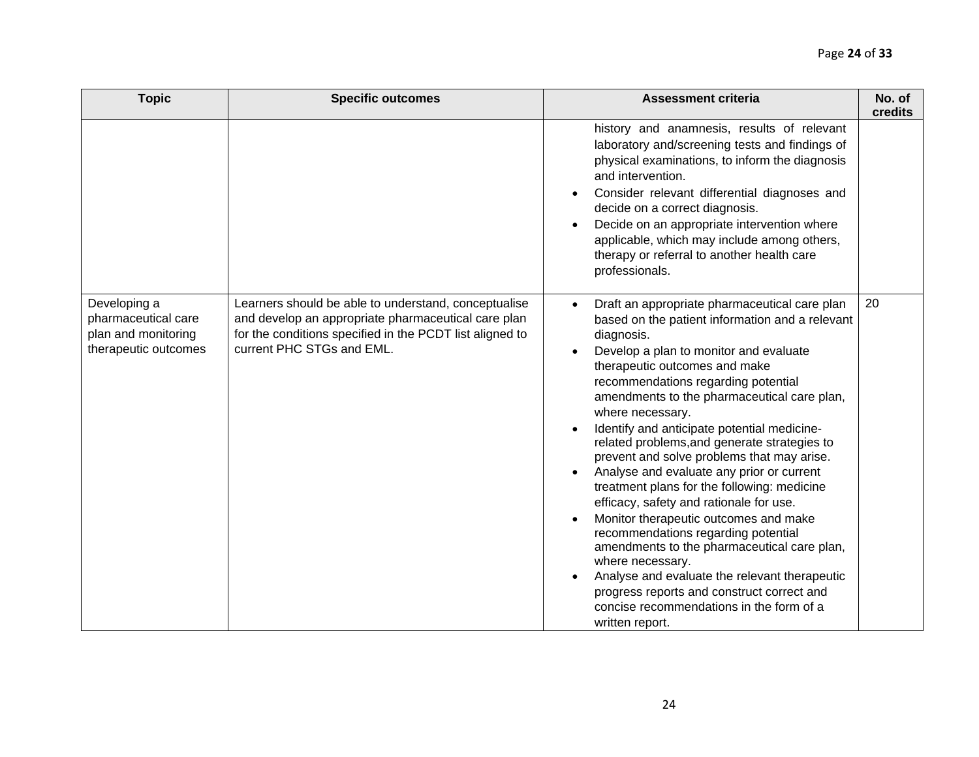| <b>Topic</b>                                                                       | <b>Specific outcomes</b>                                                                                                                                                                             | <b>Assessment criteria</b>                                                                                                                                                                                                                                                                                                                                                                                                                                                                                                                                                                                                                                                                                                                                                                                                                                                                                            | No. of<br>credits |
|------------------------------------------------------------------------------------|------------------------------------------------------------------------------------------------------------------------------------------------------------------------------------------------------|-----------------------------------------------------------------------------------------------------------------------------------------------------------------------------------------------------------------------------------------------------------------------------------------------------------------------------------------------------------------------------------------------------------------------------------------------------------------------------------------------------------------------------------------------------------------------------------------------------------------------------------------------------------------------------------------------------------------------------------------------------------------------------------------------------------------------------------------------------------------------------------------------------------------------|-------------------|
|                                                                                    |                                                                                                                                                                                                      | history and anamnesis, results of relevant<br>laboratory and/screening tests and findings of<br>physical examinations, to inform the diagnosis<br>and intervention.<br>Consider relevant differential diagnoses and<br>decide on a correct diagnosis.<br>Decide on an appropriate intervention where<br>applicable, which may include among others,<br>therapy or referral to another health care<br>professionals.                                                                                                                                                                                                                                                                                                                                                                                                                                                                                                   |                   |
| Developing a<br>pharmaceutical care<br>plan and monitoring<br>therapeutic outcomes | Learners should be able to understand, conceptualise<br>and develop an appropriate pharmaceutical care plan<br>for the conditions specified in the PCDT list aligned to<br>current PHC STGs and EML. | Draft an appropriate pharmaceutical care plan<br>$\bullet$<br>based on the patient information and a relevant<br>diagnosis.<br>Develop a plan to monitor and evaluate<br>therapeutic outcomes and make<br>recommendations regarding potential<br>amendments to the pharmaceutical care plan,<br>where necessary.<br>Identify and anticipate potential medicine-<br>related problems, and generate strategies to<br>prevent and solve problems that may arise.<br>Analyse and evaluate any prior or current<br>treatment plans for the following: medicine<br>efficacy, safety and rationale for use.<br>Monitor therapeutic outcomes and make<br>recommendations regarding potential<br>amendments to the pharmaceutical care plan,<br>where necessary.<br>Analyse and evaluate the relevant therapeutic<br>progress reports and construct correct and<br>concise recommendations in the form of a<br>written report. | 20                |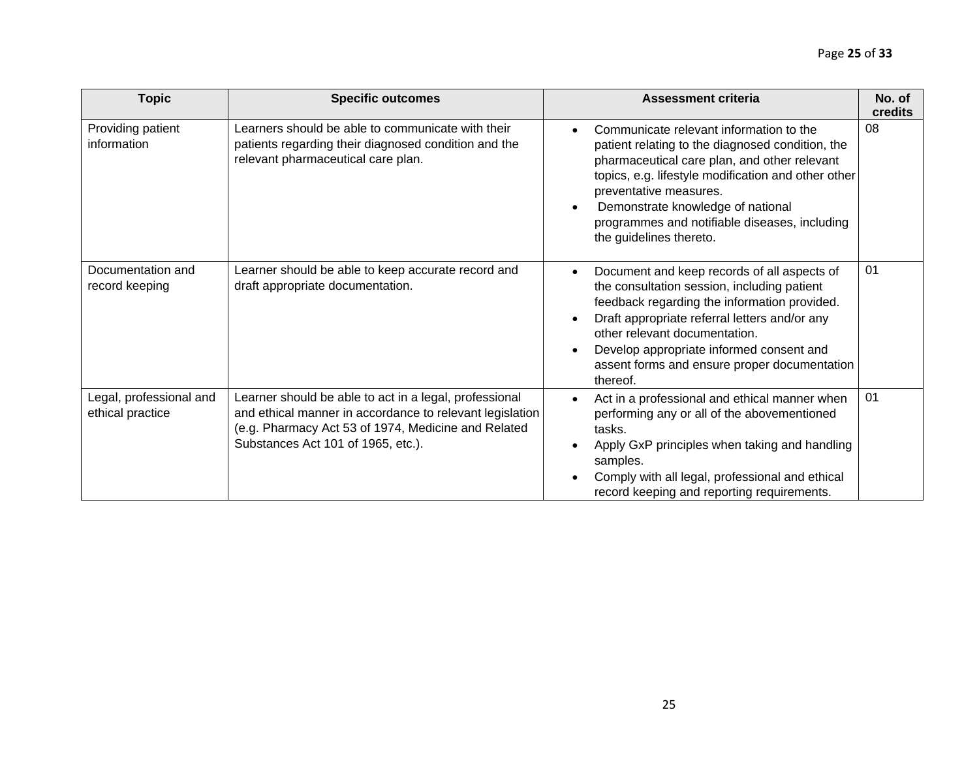| <b>Topic</b>                                | <b>Specific outcomes</b>                                                                                                                                                                                        | <b>Assessment criteria</b>                                                                                                                                                                                                                                                                                                                    | No. of<br><b>credits</b> |
|---------------------------------------------|-----------------------------------------------------------------------------------------------------------------------------------------------------------------------------------------------------------------|-----------------------------------------------------------------------------------------------------------------------------------------------------------------------------------------------------------------------------------------------------------------------------------------------------------------------------------------------|--------------------------|
| Providing patient<br>information            | Learners should be able to communicate with their<br>patients regarding their diagnosed condition and the<br>relevant pharmaceutical care plan.                                                                 | Communicate relevant information to the<br>patient relating to the diagnosed condition, the<br>pharmaceutical care plan, and other relevant<br>topics, e.g. lifestyle modification and other other<br>preventative measures.<br>Demonstrate knowledge of national<br>programmes and notifiable diseases, including<br>the guidelines thereto. | 08                       |
| Documentation and<br>record keeping         | Learner should be able to keep accurate record and<br>draft appropriate documentation.                                                                                                                          | Document and keep records of all aspects of<br>the consultation session, including patient<br>feedback regarding the information provided.<br>Draft appropriate referral letters and/or any<br>other relevant documentation.<br>Develop appropriate informed consent and<br>assent forms and ensure proper documentation<br>thereof.          | 01                       |
| Legal, professional and<br>ethical practice | Learner should be able to act in a legal, professional<br>and ethical manner in accordance to relevant legislation<br>(e.g. Pharmacy Act 53 of 1974, Medicine and Related<br>Substances Act 101 of 1965, etc.). | Act in a professional and ethical manner when<br>performing any or all of the abovementioned<br>tasks.<br>Apply GxP principles when taking and handling<br>samples.<br>Comply with all legal, professional and ethical<br>record keeping and reporting requirements.                                                                          | 01                       |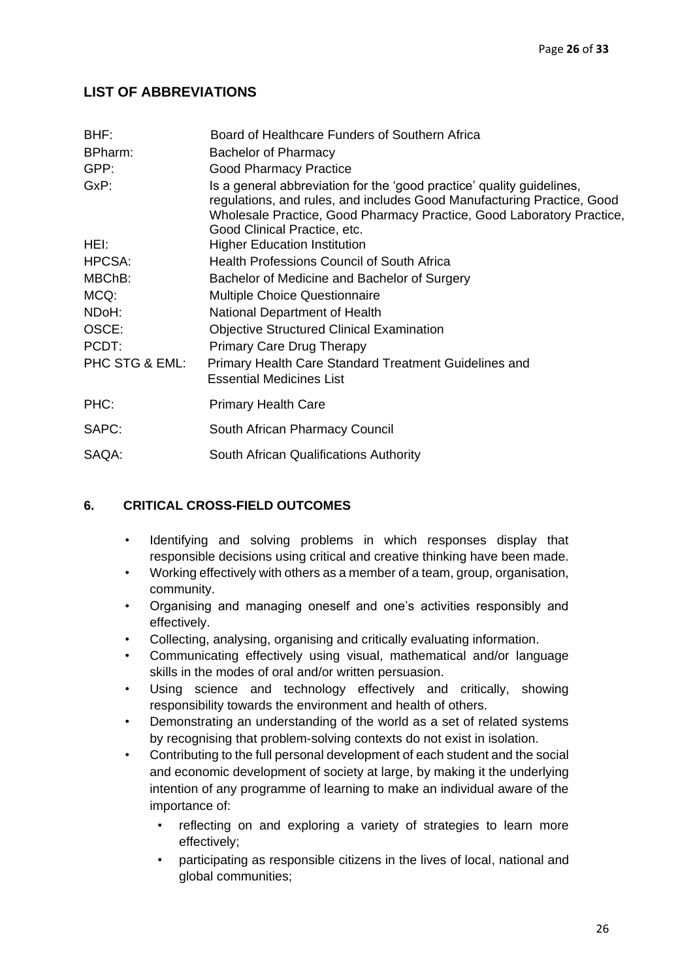# <span id="page-26-0"></span>**LIST OF ABBREVIATIONS**

| BHF:           | Board of Healthcare Funders of Southern Africa                                                                                                                                                                                                           |
|----------------|----------------------------------------------------------------------------------------------------------------------------------------------------------------------------------------------------------------------------------------------------------|
| BPharm:        | <b>Bachelor of Pharmacy</b>                                                                                                                                                                                                                              |
| GPP:           | <b>Good Pharmacy Practice</b>                                                                                                                                                                                                                            |
| GxP:           | Is a general abbreviation for the 'good practice' quality guidelines,<br>regulations, and rules, and includes Good Manufacturing Practice, Good<br>Wholesale Practice, Good Pharmacy Practice, Good Laboratory Practice,<br>Good Clinical Practice, etc. |
| HEI:           | <b>Higher Education Institution</b>                                                                                                                                                                                                                      |
| HPCSA:         | <b>Health Professions Council of South Africa</b>                                                                                                                                                                                                        |
| MBChB:         | Bachelor of Medicine and Bachelor of Surgery                                                                                                                                                                                                             |
| MCQ:           | <b>Multiple Choice Questionnaire</b>                                                                                                                                                                                                                     |
| NDoH:          | National Department of Health                                                                                                                                                                                                                            |
| OSCE:          | <b>Objective Structured Clinical Examination</b>                                                                                                                                                                                                         |
| PCDT:          | <b>Primary Care Drug Therapy</b>                                                                                                                                                                                                                         |
| PHC STG & EML: | Primary Health Care Standard Treatment Guidelines and<br><b>Essential Medicines List</b>                                                                                                                                                                 |
| PHC:           | <b>Primary Health Care</b>                                                                                                                                                                                                                               |
| SAPC:          | South African Pharmacy Council                                                                                                                                                                                                                           |
| SAQA:          | South African Qualifications Authority                                                                                                                                                                                                                   |
|                |                                                                                                                                                                                                                                                          |

# **6. CRITICAL CROSS-FIELD OUTCOMES**

- Identifying and solving problems in which responses display that responsible decisions using critical and creative thinking have been made.
- Working effectively with others as a member of a team, group, organisation, community.
- Organising and managing oneself and one's activities responsibly and effectively.
- Collecting, analysing, organising and critically evaluating information.
- Communicating effectively using visual, mathematical and/or language skills in the modes of oral and/or written persuasion.
- Using science and technology effectively and critically, showing responsibility towards the environment and health of others.
- Demonstrating an understanding of the world as a set of related systems by recognising that problem-solving contexts do not exist in isolation.
- Contributing to the full personal development of each student and the social and economic development of society at large, by making it the underlying intention of any programme of learning to make an individual aware of the importance of:
	- reflecting on and exploring a variety of strategies to learn more effectively;
	- participating as responsible citizens in the lives of local, national and global communities;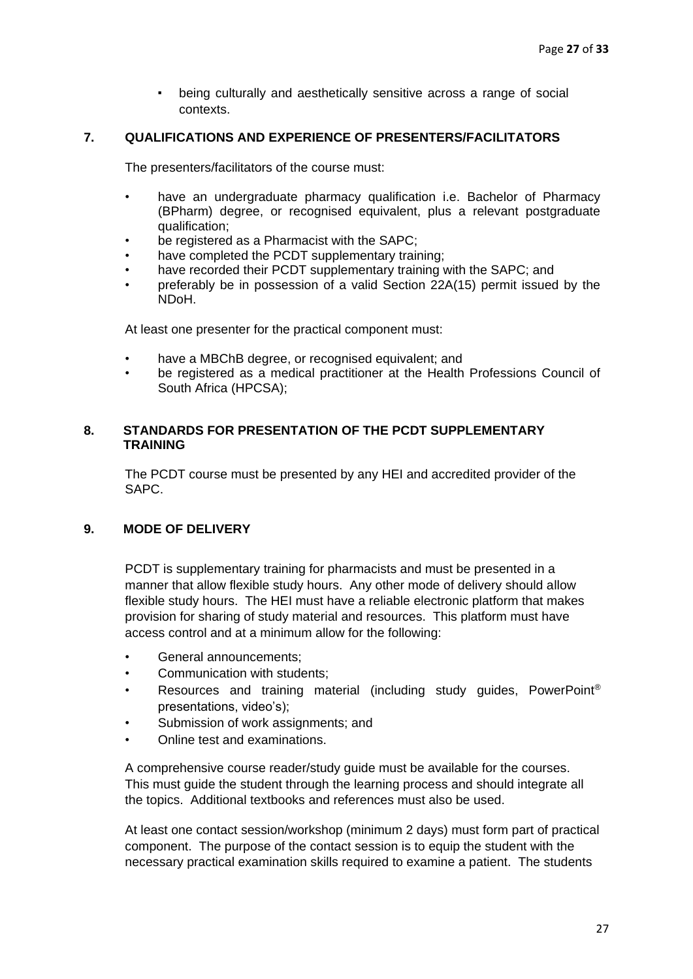▪ being culturally and aesthetically sensitive across a range of social contexts.

## **7. QUALIFICATIONS AND EXPERIENCE OF PRESENTERS/FACILITATORS**

The presenters/facilitators of the course must:

- have an undergraduate pharmacy qualification i.e. Bachelor of Pharmacy (BPharm) degree, or recognised equivalent, plus a relevant postgraduate qualification;
- be registered as a Pharmacist with the SAPC:
- have completed the PCDT supplementary training;
- have recorded their PCDT supplementary training with the SAPC; and
- preferably be in possession of a valid Section 22A(15) permit issued by the NDoH.

At least one presenter for the practical component must:

- have a MBChB degree, or recognised equivalent; and
- be registered as a medical practitioner at the Health Professions Council of South Africa (HPCSA);

## **8. STANDARDS FOR PRESENTATION OF THE PCDT SUPPLEMENTARY TRAINING**

The PCDT course must be presented by any HEI and accredited provider of the SAPC.

## **9. MODE OF DELIVERY**

PCDT is supplementary training for pharmacists and must be presented in a manner that allow flexible study hours. Any other mode of delivery should allow flexible study hours. The HEI must have a reliable electronic platform that makes provision for sharing of study material and resources. This platform must have access control and at a minimum allow for the following:

- General announcements:
- Communication with students;
- Resources and training material (including study guides, PowerPoint<sup>®</sup> presentations, video's);
- Submission of work assignments; and
- Online test and examinations.

A comprehensive course reader/study guide must be available for the courses. This must guide the student through the learning process and should integrate all the topics. Additional textbooks and references must also be used.

At least one contact session/workshop (minimum 2 days) must form part of practical component. The purpose of the contact session is to equip the student with the necessary practical examination skills required to examine a patient. The students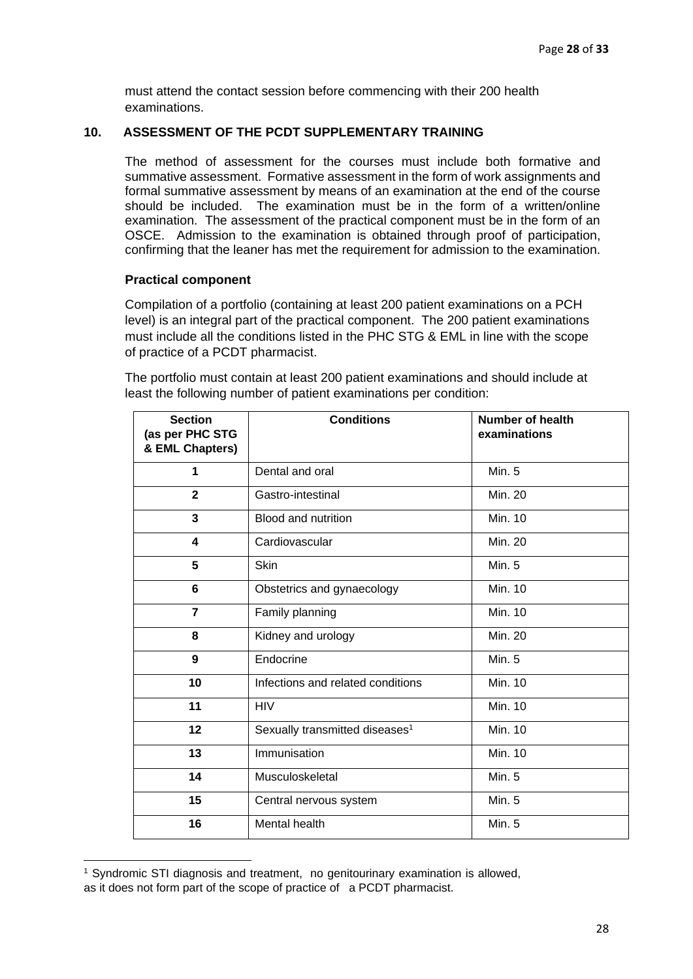must attend the contact session before commencing with their 200 health examinations.

#### **10. ASSESSMENT OF THE PCDT SUPPLEMENTARY TRAINING**

The method of assessment for the courses must include both formative and summative assessment. Formative assessment in the form of work assignments and formal summative assessment by means of an examination at the end of the course should be included. The examination must be in the form of a written/online examination. The assessment of the practical component must be in the form of an OSCE. Admission to the examination is obtained through proof of participation, confirming that the leaner has met the requirement for admission to the examination.

## **Practical component**

Compilation of a portfolio (containing at least 200 patient examinations on a PCH level) is an integral part of the practical component. The 200 patient examinations must include all the conditions listed in the PHC STG & EML in line with the scope of practice of a PCDT pharmacist.

The portfolio must contain at least 200 patient examinations and should include at least the following number of patient examinations per condition:

| <b>Section</b><br>(as per PHC STG<br>& EML Chapters) | <b>Conditions</b>                          | <b>Number of health</b><br>examinations |
|------------------------------------------------------|--------------------------------------------|-----------------------------------------|
| 1                                                    | Dental and oral                            | <b>Min. 5</b>                           |
| $\overline{2}$                                       | Gastro-intestinal                          | <b>Min. 20</b>                          |
| $\overline{\mathbf{3}}$                              | <b>Blood and nutrition</b>                 | Min. 10                                 |
| 4                                                    | Cardiovascular                             | <b>Min. 20</b>                          |
| 5                                                    | Skin                                       | <b>Min. 5</b>                           |
| 6                                                    | Obstetrics and gynaecology                 | Min. 10                                 |
| $\overline{7}$                                       | Family planning                            | Min. 10                                 |
| 8                                                    | Kidney and urology                         | Min. 20                                 |
| 9                                                    | Endocrine                                  | <b>Min. 5</b>                           |
| 10                                                   | Infections and related conditions          | Min. 10                                 |
| 11                                                   | HIV                                        | Min. 10                                 |
| 12                                                   | Sexually transmitted diseases <sup>1</sup> | Min. 10                                 |
| 13                                                   | Immunisation                               | <b>Min. 10</b>                          |
| 14                                                   | Musculoskeletal                            | <b>Min. 5</b>                           |
| 15                                                   | Central nervous system                     | <b>Min. 5</b>                           |
| 16                                                   | Mental health                              | Min. 5                                  |

<sup>1</sup> Syndromic STI diagnosis and treatment, no genitourinary examination is allowed, as it does not form part of the scope of practice of a PCDT pharmacist.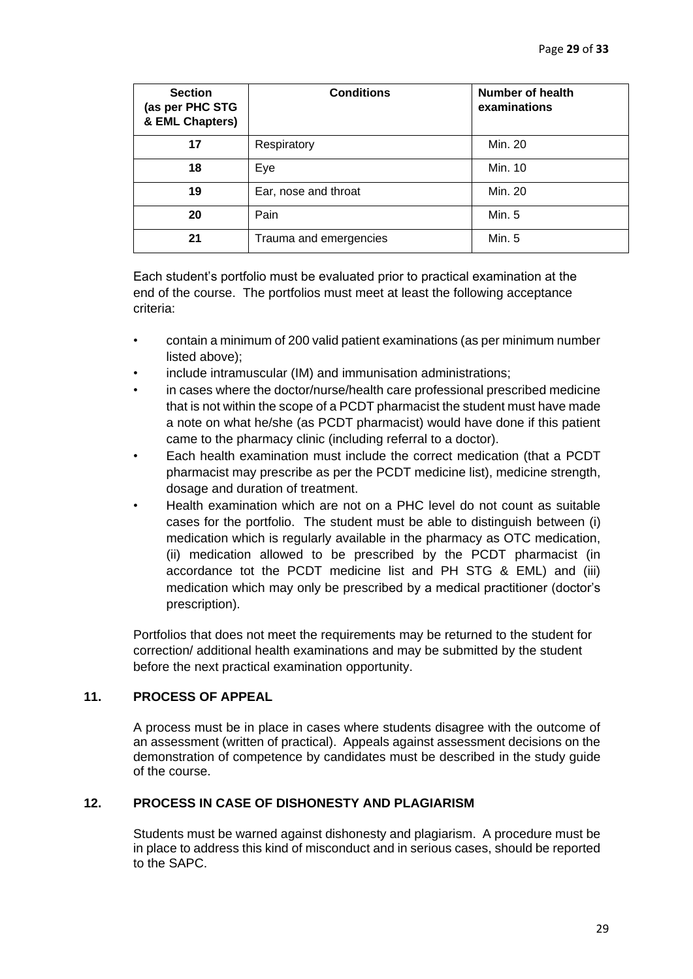| <b>Section</b><br>(as per PHC STG<br>& EML Chapters) | <b>Conditions</b>      | <b>Number of health</b><br>examinations |
|------------------------------------------------------|------------------------|-----------------------------------------|
| 17                                                   | Respiratory            | Min. 20                                 |
| 18                                                   | Eye                    | Min. 10                                 |
| 19                                                   | Ear, nose and throat   | Min. 20                                 |
| 20                                                   | Pain                   | Min. 5                                  |
| 21                                                   | Trauma and emergencies | Min. 5                                  |

Each student's portfolio must be evaluated prior to practical examination at the end of the course. The portfolios must meet at least the following acceptance criteria:

- contain a minimum of 200 valid patient examinations (as per minimum number listed above);
- include intramuscular (IM) and immunisation administrations;
- in cases where the doctor/nurse/health care professional prescribed medicine that is not within the scope of a PCDT pharmacist the student must have made a note on what he/she (as PCDT pharmacist) would have done if this patient came to the pharmacy clinic (including referral to a doctor).
- Each health examination must include the correct medication (that a PCDT pharmacist may prescribe as per the PCDT medicine list), medicine strength, dosage and duration of treatment.
- Health examination which are not on a PHC level do not count as suitable cases for the portfolio. The student must be able to distinguish between (i) medication which is regularly available in the pharmacy as OTC medication, (ii) medication allowed to be prescribed by the PCDT pharmacist (in accordance tot the PCDT medicine list and PH STG & EML) and (iii) medication which may only be prescribed by a medical practitioner (doctor's prescription).

Portfolios that does not meet the requirements may be returned to the student for correction/ additional health examinations and may be submitted by the student before the next practical examination opportunity.

# **11. PROCESS OF APPEAL**

A process must be in place in cases where students disagree with the outcome of an assessment (written of practical). Appeals against assessment decisions on the demonstration of competence by candidates must be described in the study guide of the course.

## **12. PROCESS IN CASE OF DISHONESTY AND PLAGIARISM**

Students must be warned against dishonesty and plagiarism. A procedure must be in place to address this kind of misconduct and in serious cases, should be reported to the SAPC.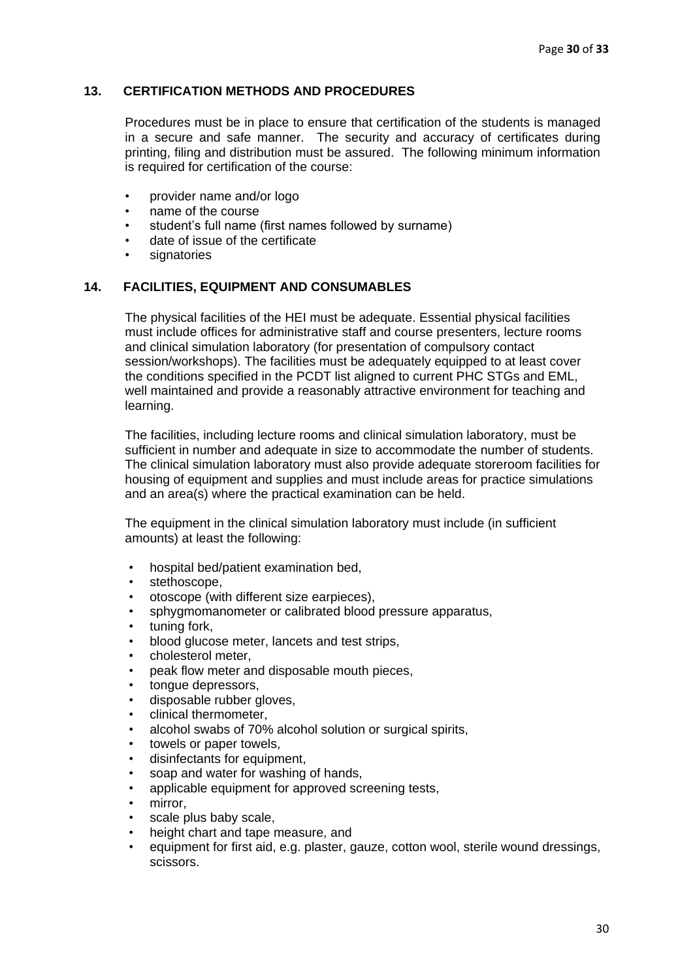## **13. CERTIFICATION METHODS AND PROCEDURES**

Procedures must be in place to ensure that certification of the students is managed in a secure and safe manner. The security and accuracy of certificates during printing, filing and distribution must be assured. The following minimum information is required for certification of the course:

- provider name and/or logo
- name of the course
- student's full name (first names followed by surname)
- date of issue of the certificate
- signatories

## **14. FACILITIES, EQUIPMENT AND CONSUMABLES**

The physical facilities of the HEI must be adequate. Essential physical facilities must include offices for administrative staff and course presenters, lecture rooms and clinical simulation laboratory (for presentation of compulsory contact session/workshops). The facilities must be adequately equipped to at least cover the conditions specified in the PCDT list aligned to current PHC STGs and EML, well maintained and provide a reasonably attractive environment for teaching and learning.

The facilities, including lecture rooms and clinical simulation laboratory, must be sufficient in number and adequate in size to accommodate the number of students. The clinical simulation laboratory must also provide adequate storeroom facilities for housing of equipment and supplies and must include areas for practice simulations and an area(s) where the practical examination can be held.

The equipment in the clinical simulation laboratory must include (in sufficient amounts) at least the following:

- hospital bed/patient examination bed,
- stethoscope.
- otoscope (with different size earpieces),
- sphygmomanometer or calibrated blood pressure apparatus,
- tuning fork.
- blood glucose meter, lancets and test strips,
- cholesterol meter,
- peak flow meter and disposable mouth pieces,
- tonque depressors.
- disposable rubber gloves,
- clinical thermometer,
- alcohol swabs of 70% alcohol solution or surgical spirits,
- towels or paper towels,
- disinfectants for equipment,
- soap and water for washing of hands.
- applicable equipment for approved screening tests,
- mirror.
- scale plus baby scale,
- height chart and tape measure, and
- equipment for first aid, e.g. plaster, gauze, cotton wool, sterile wound dressings, scissors.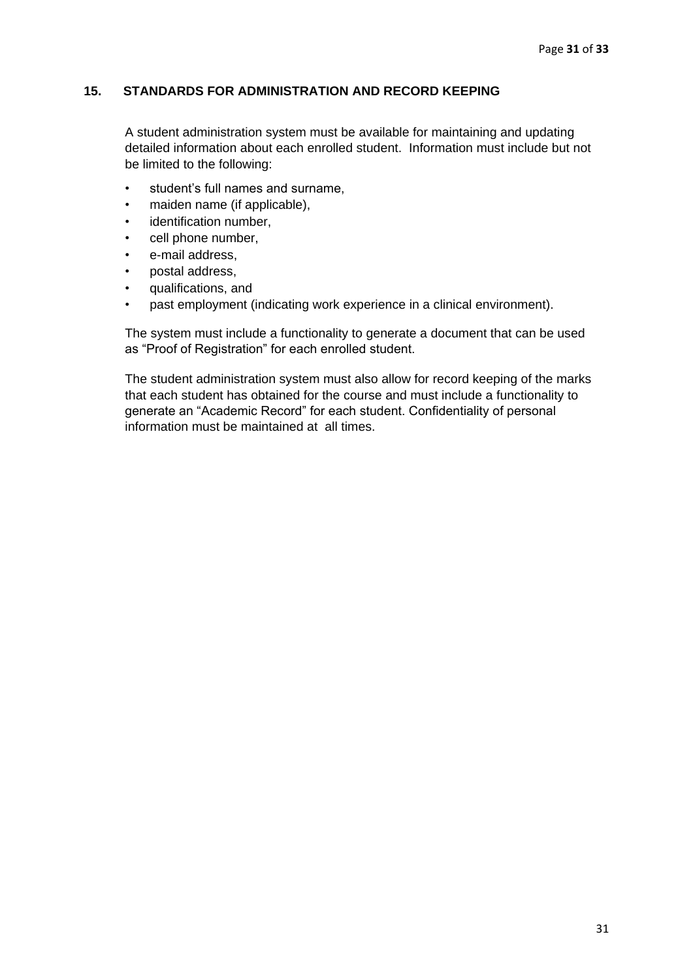# **15. STANDARDS FOR ADMINISTRATION AND RECORD KEEPING**

A student administration system must be available for maintaining and updating detailed information about each enrolled student. Information must include but not be limited to the following:

- student's full names and surname,
- maiden name (if applicable),
- identification number,
- cell phone number,
- e-mail address.
- postal address,
- qualifications, and
- past employment (indicating work experience in a clinical environment).

The system must include a functionality to generate a document that can be used as "Proof of Registration" for each enrolled student.

The student administration system must also allow for record keeping of the marks that each student has obtained for the course and must include a functionality to generate an "Academic Record" for each student. Confidentiality of personal information must be maintained at all times.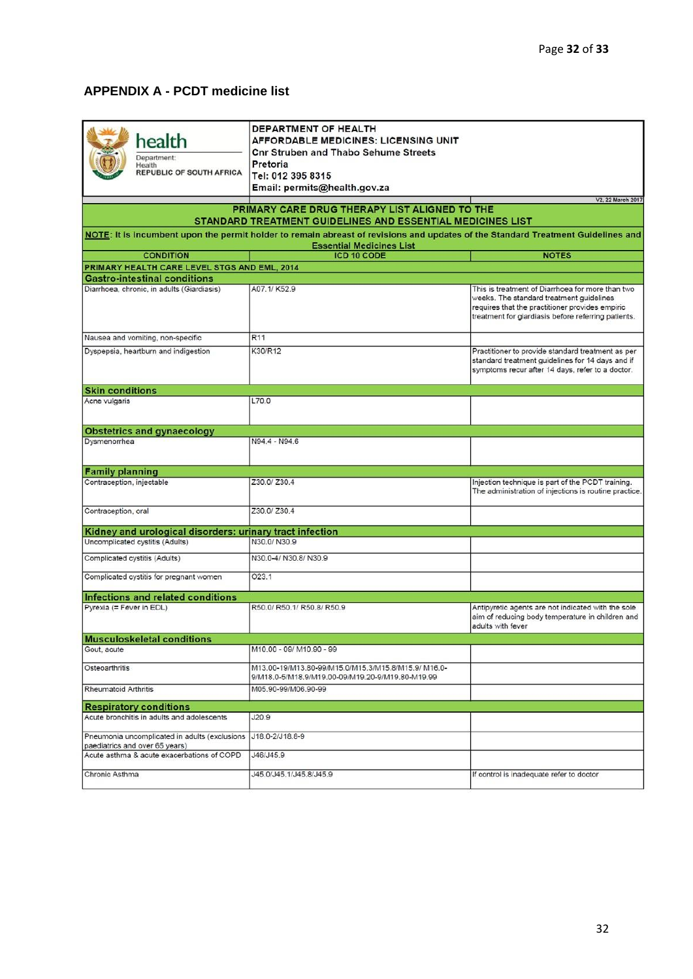# <span id="page-32-0"></span>**APPENDIX A - PCDT medicine list**

| DEPARTMENT OF HEALTH<br>health<br><b>AFFORDABLE MEDICINES: LICENSING UNIT</b><br><b>Cnr Struben and Thabo Sehume Streets</b><br>Department:<br>Pretoria<br>Health<br><b>REPUBLIC OF SOUTH AFRICA</b><br>Tel: 012 395 8315<br>Email: permits@health.gov.za<br>V2, 22 March 2017<br>PRIMARY CARE DRUG THERAPY LIST ALIGNED TO THE<br>STANDARD TREATMENT GUIDELINES AND ESSENTIAL MEDICINES LIST<br>NOTE: It is incumbent upon the permit holder to remain abreast of revisions and updates of the Standard Treatment Guidelines and |                                                                                                         |                                                                                                                                                                                                        |  |  |  |
|-----------------------------------------------------------------------------------------------------------------------------------------------------------------------------------------------------------------------------------------------------------------------------------------------------------------------------------------------------------------------------------------------------------------------------------------------------------------------------------------------------------------------------------|---------------------------------------------------------------------------------------------------------|--------------------------------------------------------------------------------------------------------------------------------------------------------------------------------------------------------|--|--|--|
|                                                                                                                                                                                                                                                                                                                                                                                                                                                                                                                                   | <b>Essential Medicines List</b>                                                                         |                                                                                                                                                                                                        |  |  |  |
| <b>CONDITION</b>                                                                                                                                                                                                                                                                                                                                                                                                                                                                                                                  | <b>ICD 10 CODE</b>                                                                                      | <b>NOTES</b>                                                                                                                                                                                           |  |  |  |
| PRIMARY HEALTH CARE LEVEL STGS AND EML, 2014<br><b>Gastro-intestinal conditions</b>                                                                                                                                                                                                                                                                                                                                                                                                                                               |                                                                                                         |                                                                                                                                                                                                        |  |  |  |
| Diarrhoea, chronic, in adults (Giardiasis)                                                                                                                                                                                                                                                                                                                                                                                                                                                                                        | A07.1/K52.9                                                                                             | This is treatment of Diarrhoea for more than two<br>weeks. The standard treatment guidelines<br>requires that the practitioner provides empiric<br>treatment for giardiasis before referring patients. |  |  |  |
| Nausea and vomiting, non-specific                                                                                                                                                                                                                                                                                                                                                                                                                                                                                                 | R <sub>11</sub>                                                                                         |                                                                                                                                                                                                        |  |  |  |
| Dyspepsia, heartburn and indigestion                                                                                                                                                                                                                                                                                                                                                                                                                                                                                              | K30/R12                                                                                                 | Practitioner to provide standard treatment as per<br>standard treatment quidelines for 14 days and if<br>symptoms recur after 14 days, refer to a doctor.                                              |  |  |  |
| <b>Skin conditions</b>                                                                                                                                                                                                                                                                                                                                                                                                                                                                                                            |                                                                                                         |                                                                                                                                                                                                        |  |  |  |
| Acne vulgaris                                                                                                                                                                                                                                                                                                                                                                                                                                                                                                                     | L70.0                                                                                                   |                                                                                                                                                                                                        |  |  |  |
| <b>Obstetrics and gynaecology</b>                                                                                                                                                                                                                                                                                                                                                                                                                                                                                                 |                                                                                                         |                                                                                                                                                                                                        |  |  |  |
| Dysmenorrhea                                                                                                                                                                                                                                                                                                                                                                                                                                                                                                                      | N94.4 - N94.6                                                                                           |                                                                                                                                                                                                        |  |  |  |
| <b>Family planning</b>                                                                                                                                                                                                                                                                                                                                                                                                                                                                                                            |                                                                                                         |                                                                                                                                                                                                        |  |  |  |
| Contraception, injectable                                                                                                                                                                                                                                                                                                                                                                                                                                                                                                         | Z30.0/ Z30.4                                                                                            | Injection technique is part of the PCDT training.<br>The administration of injections is routine practice.                                                                                             |  |  |  |
| Contraception, oral                                                                                                                                                                                                                                                                                                                                                                                                                                                                                                               | Z30.0/Z30.4                                                                                             |                                                                                                                                                                                                        |  |  |  |
| Kidney and urological disorders: urinary tract infection                                                                                                                                                                                                                                                                                                                                                                                                                                                                          |                                                                                                         |                                                                                                                                                                                                        |  |  |  |
| Uncomplicated cystitis (Adults)                                                                                                                                                                                                                                                                                                                                                                                                                                                                                                   | N30.0/N30.9                                                                                             |                                                                                                                                                                                                        |  |  |  |
| Complicated cystitis (Adults)                                                                                                                                                                                                                                                                                                                                                                                                                                                                                                     | N30.0-4/ N30.8/ N30.9                                                                                   |                                                                                                                                                                                                        |  |  |  |
| Complicated cystitis for pregnant women                                                                                                                                                                                                                                                                                                                                                                                                                                                                                           | O23.1                                                                                                   |                                                                                                                                                                                                        |  |  |  |
| Infections and related conditions                                                                                                                                                                                                                                                                                                                                                                                                                                                                                                 |                                                                                                         |                                                                                                                                                                                                        |  |  |  |
| Pyrexia (= Fever in EDL)                                                                                                                                                                                                                                                                                                                                                                                                                                                                                                          | R50.0/ R50.1/ R50.8/ R50.9                                                                              | Antipyretic agents are not indicated with the sole<br>aim of reducing body temperature in children and<br>adults with fever                                                                            |  |  |  |
| <b>Musculoskeletal conditions</b>                                                                                                                                                                                                                                                                                                                                                                                                                                                                                                 |                                                                                                         |                                                                                                                                                                                                        |  |  |  |
| Gout, acute                                                                                                                                                                                                                                                                                                                                                                                                                                                                                                                       | M10.00 - 09/ M10.90 - 99                                                                                |                                                                                                                                                                                                        |  |  |  |
| Osteoarthritis                                                                                                                                                                                                                                                                                                                                                                                                                                                                                                                    | M13.00-19/M13.80-99/M15.0/M15.3/M15.8/M15.9/ M16.0-<br>9/M18.0-5/M18.9/M19.00-09/M19.20-9/M19.80-M19.99 |                                                                                                                                                                                                        |  |  |  |
| <b>Rheumatoid Arthritis</b>                                                                                                                                                                                                                                                                                                                                                                                                                                                                                                       | M05.90-99/M06.90-99                                                                                     |                                                                                                                                                                                                        |  |  |  |
| <b>Respiratory conditions</b>                                                                                                                                                                                                                                                                                                                                                                                                                                                                                                     |                                                                                                         |                                                                                                                                                                                                        |  |  |  |
| Acute bronchitis in adults and adolescents                                                                                                                                                                                                                                                                                                                                                                                                                                                                                        | J20.9                                                                                                   |                                                                                                                                                                                                        |  |  |  |
| Pneumonia uncomplicated in adults (exclusions 118.0-2/118.8-9<br>paediatrics and over 65 years)                                                                                                                                                                                                                                                                                                                                                                                                                                   |                                                                                                         |                                                                                                                                                                                                        |  |  |  |
| Acute asthma & acute exacerbations of COPD                                                                                                                                                                                                                                                                                                                                                                                                                                                                                        | J46/J45.9                                                                                               |                                                                                                                                                                                                        |  |  |  |
| Chronic Asthma                                                                                                                                                                                                                                                                                                                                                                                                                                                                                                                    | J45.0/J45.1/J45.8/J45.9                                                                                 | If control is inadequate refer to doctor                                                                                                                                                               |  |  |  |